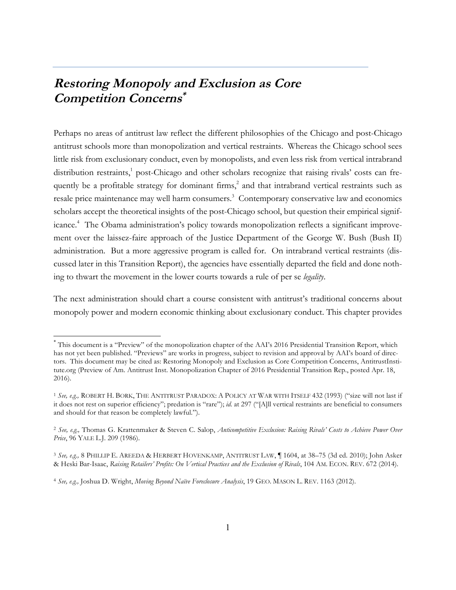# **Restoring Monopoly and Exclusion as Core Competition Concerns\***

Perhaps no areas of antitrust law reflect the different philosophies of the Chicago and post-Chicago antitrust schools more than monopolization and vertical restraints. Whereas the Chicago school sees little risk from exclusionary conduct, even by monopolists, and even less risk from vertical intrabrand distribution restraints,<sup>1</sup> post-Chicago and other scholars recognize that raising rivals' costs can frequently be a profitable strategy for dominant firms,<sup>2</sup> and that intrabrand vertical restraints such as resale price maintenance may well harm consumers.<sup>3</sup> Contemporary conservative law and economics scholars accept the theoretical insights of the post-Chicago school, but question their empirical significance.<sup>4</sup> The Obama administration's policy towards monopolization reflects a significant improvement over the laissez-faire approach of the Justice Department of the George W. Bush (Bush II) administration. But a more aggressive program is called for. On intrabrand vertical restraints (discussed later in this Transition Report), the agencies have essentially departed the field and done nothing to thwart the movement in the lower courts towards a rule of per se *legality*.

The next administration should chart a course consistent with antitrust's traditional concerns about monopoly power and modern economic thinking about exclusionary conduct. This chapter provides

 <sup>\*</sup> This document is a "Preview" of the monopolization chapter of the AAI's 2016 Presidential Transition Report, which has not yet been published. "Previews" are works in progress, subject to revision and approval by AAI's board of directors. This document may be cited as: Restoring Monopoly and Exclusion as Core Competition Concerns, AntitrustInstitute.org (Preview of Am. Antitrust Inst. Monopolization Chapter of 2016 Presidential Transition Rep., posted Apr. 18, 2016).

<sup>1</sup> *See, e.g.,* ROBERT H. BORK, THE ANTITRUST PARADOX: A POLICY AT WAR WITH ITSELF 432 (1993) ("size will not last if it does not rest on superior efficiency"; predation is "rare"); *id.* at 297 ("[A]ll vertical restraints are beneficial to consumers and should for that reason be completely lawful.").

<sup>2</sup> *See, e.g.,* Thomas G. Krattenmaker & Steven C. Salop, *Anticompetitive Exclusion: Raising Rivals' Costs to Achieve Power Over Price*, 96 YALE L.J. 209 (1986).

<sup>3</sup> *See, e.g.,* 8 PHILLIP E. AREEDA & HERBERT HOVENKAMP, ANTITRUST LAW, ¶ 1604, at 38–75 (3d ed. 2010); John Asker & Heski Bar-Isaac, *Raising Retailers' Profits: On Vertical Practices and the Exclusion of Rivals*, 104 AM. ECON. REV. 672 (2014).

<sup>4</sup> *See, e.g.,* Joshua D. Wright, *Moving Beyond Naïve Foreclosure Analysis*, 19 GEO. MASON L. REV. 1163 (2012).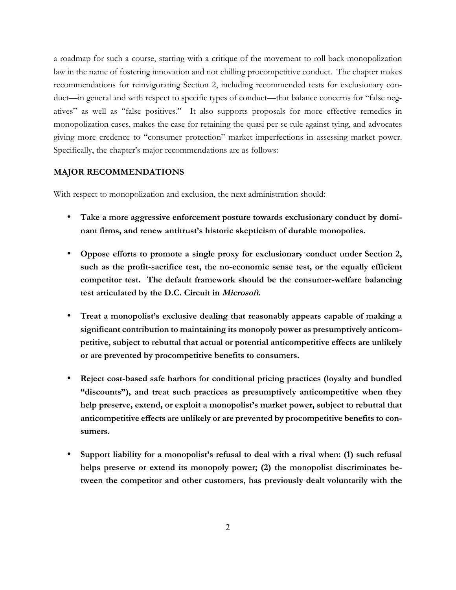a roadmap for such a course, starting with a critique of the movement to roll back monopolization law in the name of fostering innovation and not chilling procompetitive conduct. The chapter makes recommendations for reinvigorating Section 2, including recommended tests for exclusionary conduct—in general and with respect to specific types of conduct—that balance concerns for "false negatives" as well as "false positives." It also supports proposals for more effective remedies in monopolization cases, makes the case for retaining the quasi per se rule against tying, and advocates giving more credence to "consumer protection" market imperfections in assessing market power. Specifically, the chapter's major recommendations are as follows:

### **MAJOR RECOMMENDATIONS**

With respect to monopolization and exclusion, the next administration should:

- **Take a more aggressive enforcement posture towards exclusionary conduct by dominant firms, and renew antitrust's historic skepticism of durable monopolies.**
- **Oppose efforts to promote a single proxy for exclusionary conduct under Section 2, such as the profit-sacrifice test, the no-economic sense test, or the equally efficient competitor test. The default framework should be the consumer-welfare balancing test articulated by the D.C. Circuit in Microsoft.**
- **Treat a monopolist's exclusive dealing that reasonably appears capable of making a significant contribution to maintaining its monopoly power as presumptively anticompetitive, subject to rebuttal that actual or potential anticompetitive effects are unlikely or are prevented by procompetitive benefits to consumers.**
- **Reject cost-based safe harbors for conditional pricing practices (loyalty and bundled "discounts"), and treat such practices as presumptively anticompetitive when they help preserve, extend, or exploit a monopolist's market power, subject to rebuttal that anticompetitive effects are unlikely or are prevented by procompetitive benefits to consumers.**
- **Support liability for a monopolist's refusal to deal with a rival when: (1) such refusal helps preserve or extend its monopoly power; (2) the monopolist discriminates between the competitor and other customers, has previously dealt voluntarily with the**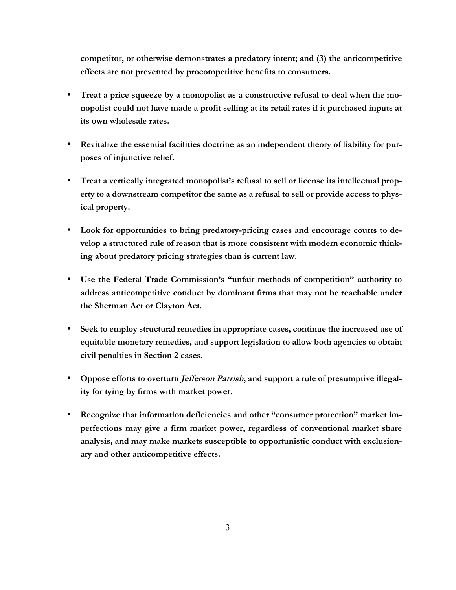**competitor, or otherwise demonstrates a predatory intent; and (3) the anticompetitive effects are not prevented by procompetitive benefits to consumers.** 

- **Treat a price squeeze by a monopolist as a constructive refusal to deal when the monopolist could not have made a profit selling at its retail rates if it purchased inputs at its own wholesale rates.**
- **Revitalize the essential facilities doctrine as an independent theory of liability for purposes of injunctive relief.**
- **Treat a vertically integrated monopolist's refusal to sell or license its intellectual property to a downstream competitor the same as a refusal to sell or provide access to physical property.**
- **Look for opportunities to bring predatory-pricing cases and encourage courts to develop a structured rule of reason that is more consistent with modern economic thinking about predatory pricing strategies than is current law.**
- **Use the Federal Trade Commission's "unfair methods of competition" authority to address anticompetitive conduct by dominant firms that may not be reachable under the Sherman Act or Clayton Act.**
- **Seek to employ structural remedies in appropriate cases, continue the increased use of equitable monetary remedies, and support legislation to allow both agencies to obtain civil penalties in Section 2 cases.**
- **Oppose efforts to overturn Jefferson Parrish, and support a rule of presumptive illegality for tying by firms with market power.**
- **Recognize that information deficiencies and other "consumer protection" market imperfections may give a firm market power, regardless of conventional market share analysis, and may make markets susceptible to opportunistic conduct with exclusionary and other anticompetitive effects.**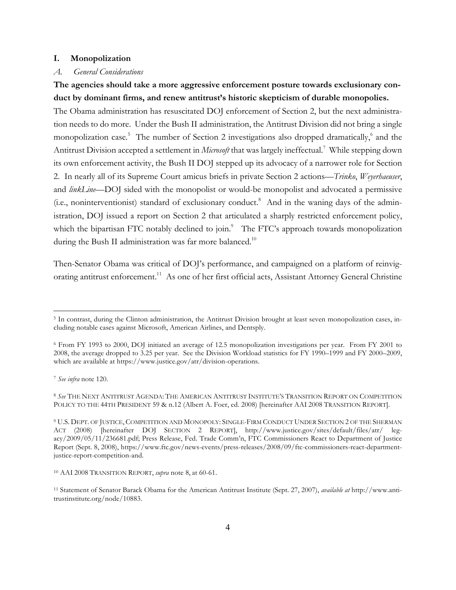#### **I. Monopolization**

### *A. General Considerations*

### **The agencies should take a more aggressive enforcement posture towards exclusionary conduct by dominant firms, and renew antitrust's historic skepticism of durable monopolies.**

The Obama administration has resuscitated DOJ enforcement of Section 2, but the next administration needs to do more. Under the Bush II administration, the Antitrust Division did not bring a single monopolization case*.* <sup>5</sup> The number of Section 2 investigations also dropped dramatically, <sup>6</sup> and the Antitrust Division accepted a settlement in *Microsoft* that was largely ineffectual.7 While stepping down its own enforcement activity, the Bush II DOJ stepped up its advocacy of a narrower role for Section 2. In nearly all of its Supreme Court amicus briefs in private Section 2 actions—*Trinko*, *Weyerhaeuser*, and *linkLine—*DOJ sided with the monopolist or would-be monopolist and advocated a permissive (i.e., noninterventionist) standard of exclusionary conduct.<sup>8</sup> And in the waning days of the administration, DOJ issued a report on Section 2 that articulated a sharply restricted enforcement policy, which the bipartisan FTC notably declined to join.<sup>9</sup> The FTC's approach towards monopolization during the Bush II administration was far more balanced.<sup>10</sup>

Then-Senator Obama was critical of DOJ's performance, and campaigned on a platform of reinvigorating antitrust enforcement.<sup>11</sup> As one of her first official acts, Assistant Attorney General Christine

<sup>7</sup> *See infra* note 120.

<sup>5</sup> In contrast, during the Clinton administration, the Antitrust Division brought at least seven monopolization cases, including notable cases against Microsoft, American Airlines, and Dentsply.

<sup>6</sup> From FY 1993 to 2000, DOJ initiated an average of 12.5 monopolization investigations per year. From FY 2001 to 2008, the average dropped to 3.25 per year. See the Division Workload statistics for FY 1990–1999 and FY 2000–2009, which are available at https://www.justice.gov/atr/division-operations.

<sup>8</sup> *See* THE NEXT ANTITRUST AGENDA: THE AMERICAN ANTITRUST INSTITUTE'S TRANSITION REPORT ON COMPETITION POLICY TO THE 44TH PRESIDENT 59 & n.12 (Albert A. Foer, ed. 2008) [hereinafter AAI 2008 TRANSITION REPORT].

<sup>9</sup> U.S. DEPT. OF JUSTICE, COMPETITION AND MONOPOLY: SINGLE-FIRM CONDUCT UNDER SECTION 2 OF THE SHERMAN ACT (2008) [hereinafter DOJ SECTION 2 REPORT], http://www.justice.gov/sites/default/files/atr/ legacy/2009/05/11/236681.pdf; Press Release, Fed. Trade Comm'n, FTC Commissioners React to Department of Justice Report (Sept. 8, 2008), https://www.ftc.gov/news-events/press-releases/2008/09/ftc-commissioners-react-departmentjustice-report-competition-and.

<sup>10</sup> AAI 2008 TRANSITION REPORT, *supra* note 8, at 60-61.

<sup>11</sup> Statement of Senator Barack Obama for the American Antitrust Institute (Sept. 27, 2007), *available at* http://www.antitrustinstitute.org/node/10883.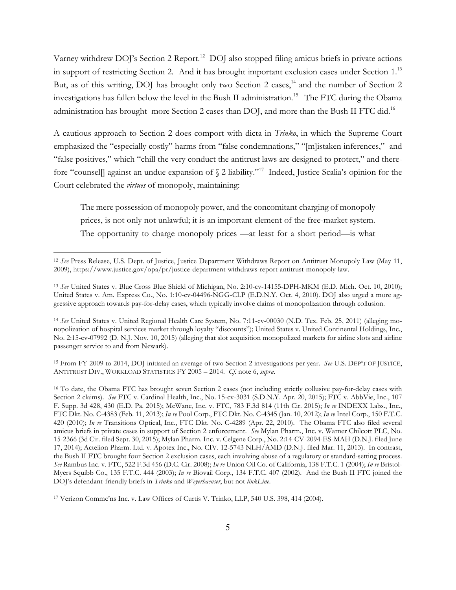Varney withdrew DOJ's Section 2 Report.<sup>12</sup> DOJ also stopped filing amicus briefs in private actions in support of restricting Section 2. And it has brought important exclusion cases under Section 1.<sup>13</sup> But, as of this writing, DOJ has brought only two Section 2 cases,<sup>14</sup> and the number of Section 2 investigations has fallen below the level in the Bush II administration.<sup>15</sup> The FTC during the Obama administration has brought more Section 2 cases than DOJ, and more than the Bush II FTC did.<sup>16</sup>

A cautious approach to Section 2 does comport with dicta in *Trinko*, in which the Supreme Court emphasized the "especially costly" harms from "false condemnations," "[m]istaken inferences," and "false positives," which "chill the very conduct the antitrust laws are designed to protect," and therefore "counsel] against an undue expansion of  $\S$  2 liability."<sup>17</sup> Indeed, Justice Scalia's opinion for the Court celebrated the *virtues* of monopoly, maintaining:

The mere possession of monopoly power, and the concomitant charging of monopoly prices, is not only not unlawful; it is an important element of the free-market system. The opportunity to charge monopoly prices —at least for a short period—is what

 $\overline{a}$ 

<sup>15</sup> From FY 2009 to 2014, DOJ initiated an average of two Section 2 investigations per year. *See* U.S. DEP'T OF JUSTICE, ANTITRUST DIV., WORKLOAD STATISTICS FY 2005 – 2014. *Cf.* note 6, *supra*.

<sup>12</sup> *See* Press Release, U.S. Dept. of Justice, Justice Department Withdraws Report on Antitrust Monopoly Law (May 11, 2009), https://www.justice.gov/opa/pr/justice-department-withdraws-report-antitrust-monopoly-law.

<sup>13</sup> *See* United States v. Blue Cross Blue Shield of Michigan, No. 2:10-cv-14155-DPH-MKM (E.D. Mich. Oct. 10, 2010); United States v. Am. Express Co., No. 1:10-cv-04496-NGG-CLP (E.D.N.Y. Oct. 4, 2010). DOJ also urged a more aggressive approach towards pay-for-delay cases, which typically involve claims of monopolization through collusion.

<sup>&</sup>lt;sup>14</sup> *See* United States v. United Regional Health Care System, No. 7:11-cv-00030 (N.D. Tex. Feb. 25, 2011) (alleging monopolization of hospital services market through loyalty "discounts"); United States v. United Continental Holdings, Inc., No. 2:15-cv-07992 (D. N.J. Nov. 10, 2015) (alleging that slot acquisition monopolized markets for airline slots and airline passenger service to and from Newark).

<sup>16</sup> To date, the Obama FTC has brought seven Section 2 cases (not including strictly collusive pay-for-delay cases with Section 2 claims). *See* FTC v. Cardinal Health, Inc., No. 15-cv-3031 (S.D.N.Y. Apr. 20, 2015); FTC v. AbbVie, Inc., 107 F. Supp. 3d 428, 430 (E.D. Pa. 2015); McWane, Inc. v. FTC, 783 F.3d 814 (11th Cir. 2015); *In re* INDEXX Labs., Inc., FTC Dkt. No. C-4383 (Feb. 11, 2013); *In re* Pool Corp., FTC Dkt. No. C-4345 (Jan. 10, 2012); *In re* Intel Corp., 150 F.T.C. 420 (2010); *In re* Transitions Optical, Inc., FTC Dkt. No. C-4289 (Apr. 22, 2010). The Obama FTC also filed several amicus briefs in private cases in support of Section 2 enforcement. *See* Mylan Pharm., Inc. v. Warner Chilcott PLC, No. 15-2366 (3d Cir. filed Sept. 30, 2015); Mylan Pharm. Inc. v. Celgene Corp., No. 2:14-CV-2094-ES-MAH (D.N.J. filed June 17, 2014); Actelion Pharm. Ltd. v. Apotex Inc., No. CIV. 12-5743 NLH/AMD (D.N.J. filed Mar. 11, 2013). In contrast, the Bush II FTC brought four Section 2 exclusion cases, each involving abuse of a regulatory or standard-setting process. *See* Rambus Inc. v. FTC, 522 F.3d 456 (D.C. Cir. 2008); *In re* Union Oil Co. of California, 138 F.T.C. 1 (2004); *In re* Bristol-Myers Squibb Co., 135 F.T.C. 444 (2003); *In re* Biovail Corp., 134 F.T.C. 407 (2002). And the Bush II FTC joined the DOJ's defendant-friendly briefs in *Trinko* and *Weyerhaeuser*, but not *linkLine*.

<sup>17</sup> Verizon Commc'ns Inc. v. Law Offices of Curtis V. Trinko, LLP, 540 U.S. 398, 414 (2004).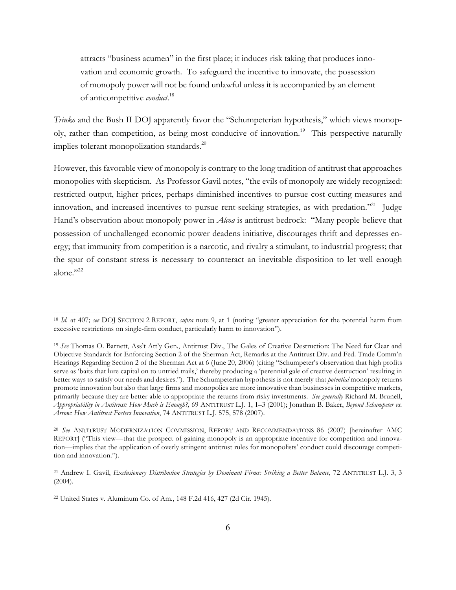attracts "business acumen" in the first place; it induces risk taking that produces innovation and economic growth. To safeguard the incentive to innovate, the possession of monopoly power will not be found unlawful unless it is accompanied by an element of anticompetitive *conduct*. 18

*Trinko* and the Bush II DOJ apparently favor the "Schumpeterian hypothesis," which views monopoly, rather than competition, as being most conducive of innovation.<sup>19</sup> This perspective naturally implies tolerant monopolization standards.<sup>20</sup>

However, this favorable view of monopoly is contrary to the long tradition of antitrust that approaches monopolies with skepticism. As Professor Gavil notes, "the evils of monopoly are widely recognized: restricted output, higher prices, perhaps diminished incentives to pursue cost-cutting measures and innovation, and increased incentives to pursue rent-seeking strategies, as with predation."<sup>21</sup> Judge Hand's observation about monopoly power in *Alcoa* is antitrust bedrock: "Many people believe that possession of unchallenged economic power deadens initiative, discourages thrift and depresses energy; that immunity from competition is a narcotic, and rivalry a stimulant, to industrial progress; that the spur of constant stress is necessary to counteract an inevitable disposition to let well enough alone."22

<sup>18</sup> *Id.* at 407; *see* DOJ SECTION 2 REPORT, *supra* note 9, at 1 (noting "greater appreciation for the potential harm from excessive restrictions on single-firm conduct, particularly harm to innovation").

<sup>19</sup> *See* Thomas O. Barnett, Ass't Att'y Gen., Antitrust Div., The Gales of Creative Destruction: The Need for Clear and Objective Standards for Enforcing Section 2 of the Sherman Act, Remarks at the Antitrust Div. and Fed. Trade Comm'n Hearings Regarding Section 2 of the Sherman Act at 6 (June 20, 2006) (citing "Schumpeter's observation that high profits serve as 'baits that lure capital on to untried trails,' thereby producing a 'perennial gale of creative destruction' resulting in better ways to satisfy our needs and desires."). The Schumpeterian hypothesis is not merely that *potential* monopoly returns promote innovation but also that large firms and monopolies are more innovative than businesses in competitive markets, primarily because they are better able to appropriate the returns from risky investments. *See generally* Richard M. Brunell, *Appropriability in Antitrust: How Much is Enough?,* 69 ANTITRUST L.J. 1, 1–3 (2001); Jonathan B. Baker, *Beyond Schumpeter vs. Arrow: How Antitrust Fosters Innovation*, 74 ANTITRUST L.J. 575, 578 (2007).

<sup>20</sup> *See* ANTITRUST MODERNIZATION COMMISSION, REPORT AND RECOMMENDATIONS 86 (2007) [hereinafter AMC REPORT] ("This view—that the prospect of gaining monopoly is an appropriate incentive for competition and innovation—implies that the application of overly stringent antitrust rules for monopolists' conduct could discourage competition and innovation.").

<sup>21</sup> Andrew I. Gavil, *Exclusionary Distribution Strategies by Dominant Firms: Striking a Better Balance*, 72 ANTITRUST L.J. 3, 3  $(2004).$ 

<sup>22</sup> United States v. Aluminum Co. of Am*.*, 148 F.2d 416, 427 (2d Cir. 1945).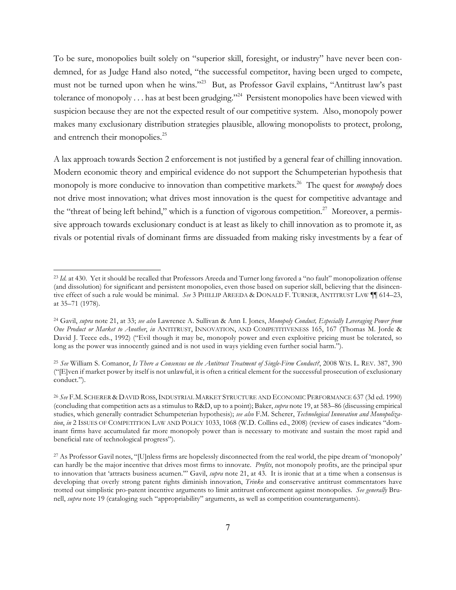To be sure, monopolies built solely on "superior skill, foresight, or industry" have never been condemned, for as Judge Hand also noted, "the successful competitor, having been urged to compete, must not be turned upon when he wins."23 But, as Professor Gavil explains, "Antitrust law's past tolerance of monopoly . . . has at best been grudging."<sup>24</sup> Persistent monopolies have been viewed with suspicion because they are not the expected result of our competitive system. Also, monopoly power makes many exclusionary distribution strategies plausible, allowing monopolists to protect, prolong, and entrench their monopolies.<sup>25</sup>

A lax approach towards Section 2 enforcement is not justified by a general fear of chilling innovation. Modern economic theory and empirical evidence do not support the Schumpeterian hypothesis that monopoly is more conducive to innovation than competitive markets.<sup>26</sup> The quest for *monopoly* does not drive most innovation; what drives most innovation is the quest for competitive advantage and the "threat of being left behind," which is a function of vigorous competition.<sup>27</sup> Moreover, a permissive approach towards exclusionary conduct is at least as likely to chill innovation as to promote it, as rivals or potential rivals of dominant firms are dissuaded from making risky investments by a fear of

<sup>23</sup> *Id.* at 430. Yet it should be recalled that Professors Areeda and Turner long favored a "no fault" monopolization offense (and dissolution) for significant and persistent monopolies, even those based on superior skill, believing that the disincentive effect of such a rule would be minimal. *See* 3 PHILLIP AREEDA & DONALD F. TURNER, ANTITRUST LAW ¶¶ 614–23, at 35–71 (1978).

<sup>24</sup> Gavil, *supra* note 21, at 33; *see also* Lawrence A. Sullivan & Ann I. Jones, *Monopoly Conduct, Especially Leveraging Power from One Product or Market to Another*, *in* ANTITRUST, INNOVATION, AND COMPETITIVENESS 165, 167 (Thomas M. Jorde & David J. Teece eds., 1992) ("Evil though it may be, monopoly power and even exploitive pricing must be tolerated, so long as the power was innocently gained and is not used in ways yielding even further social harm.").

<sup>25</sup> *See* William S. Comanor, *Is There a Consensus on the Antitrust Treatment of Single-Firm Conduct?*, 2008 WIS. L. REV. 387, 390 ("[E]ven if market power by itself is not unlawful, it is often a critical element for the successful prosecution of exclusionary conduct.").

<sup>26</sup> *See* F.M. SCHERER & DAVID ROSS,INDUSTRIAL MARKET STRUCTURE AND ECONOMIC PERFORMANCE 637 (3d ed. 1990) (concluding that competition acts as a stimulus to R&D, up to a point); Baker, *supra* note 19, at 583–86 (discussing empirical studies, which generally contradict Schumpeterian hypothesis); *see also* F.M. Scherer, *Technological Innovation and Monopolization*, *in* 2 ISSUES OF COMPETITION LAW AND POLICY 1033, 1068 (W.D. Collins ed., 2008) (review of cases indicates "dominant firms have accumulated far more monopoly power than is necessary to motivate and sustain the most rapid and beneficial rate of technological progress").

<sup>27</sup> As Professor Gavil notes, "[U]nless firms are hopelessly disconnected from the real world, the pipe dream of 'monopoly' can hardly be the major incentive that drives most firms to innovate. *Profits*, not monopoly profits, are the principal spur to innovation that 'attracts business acumen.'" Gavil, *supra* note 21, at 43. It is ironic that at a time when a consensus is developing that overly strong patent rights diminish innovation, *Trinko* and conservative antitrust commentators have trotted out simplistic pro-patent incentive arguments to limit antitrust enforcement against monopolies. *See generally* Brunell, *supra* note 19 (cataloging such "appropriability" arguments, as well as competition counterarguments).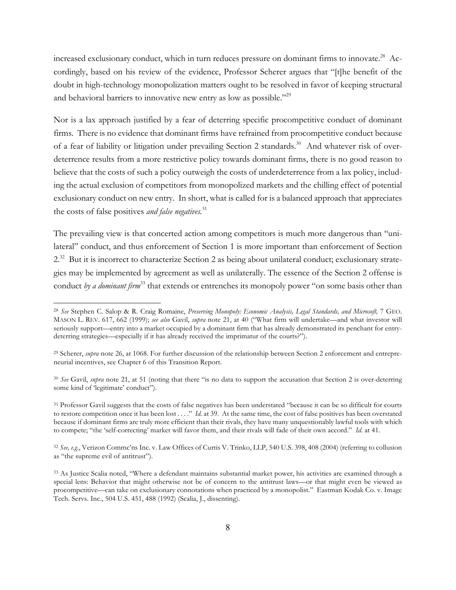increased exclusionary conduct, which in turn reduces pressure on dominant firms to innovate.<sup>28</sup> Accordingly, based on his review of the evidence, Professor Scherer argues that "[t]he benefit of the doubt in high-technology monopolization matters ought to be resolved in favor of keeping structural and behavioral barriers to innovative new entry as low as possible."<sup>29</sup>

Nor is a lax approach justified by a fear of deterring specific procompetitive conduct of dominant firms. There is no evidence that dominant firms have refrained from procompetitive conduct because of a fear of liability or litigation under prevailing Section 2 standards.<sup>30</sup> And whatever risk of overdeterrence results from a more restrictive policy towards dominant firms, there is no good reason to believe that the costs of such a policy outweigh the costs of underdeterrence from a lax policy, including the actual exclusion of competitors from monopolized markets and the chilling effect of potential exclusionary conduct on new entry. In short, what is called for is a balanced approach that appreciates the costs of false positives *and false negatives.*<sup>31</sup>

The prevailing view is that concerted action among competitors is much more dangerous than "unilateral" conduct, and thus enforcement of Section 1 is more important than enforcement of Section 2.<sup>32</sup> But it is incorrect to characterize Section 2 as being about unilateral conduct; exclusionary strategies may be implemented by agreement as well as unilaterally. The essence of the Section 2 offense is conduct *by a dominant firm*<sup>33</sup> that extends or entrenches its monopoly power "on some basis other than

<sup>28</sup> *See* Stephen C. Salop & R. Craig Romaine, *Preserving Monopoly: Economic Analysis, Legal Standards, and Microsoft,* 7 GEO. MASON L. REV. 617, 662 (1999); *see also* Gavil, *supra* note 21, at 40 ("What firm will undertake—and what investor will seriously support—entry into a market occupied by a dominant firm that has already demonstrated its penchant for entrydeterring strategies—especially if it has already received the imprimatur of the courts?").

<sup>29</sup> Scherer, *supra* note 26, at 1068. For further discussion of the relationship between Section 2 enforcement and entrepreneurial incentives, see Chapter 6 of this Transition Report.

<sup>30</sup> *See* Gavil, *supra* note 21, at 51 (noting that there "is no data to support the accusation that Section 2 is over-deterring some kind of 'legitimate' conduct").

<sup>&</sup>lt;sup>31</sup> Professor Gavil suggests that the costs of false negatives has been understated "because it can be so difficult for courts to restore competition once it has been lost . . . ." *Id.* at 39. At the same time, the cost of false positives has been overstated because if dominant firms are truly more efficient than their rivals, they have many unquestionably lawful tools with which to compete; "the 'self-correcting' market will favor them, and their rivals will fade of their own accord." *Id.* at 41.

<sup>32</sup> *See, e.g.*, Verizon Commc'ns Inc. v. Law Offices of Curtis V. Trinko, LLP, 540 U.S. 398, 408 (2004) (referring to collusion as "the supreme evil of antitrust").

<sup>33</sup> As Justice Scalia noted, "Where a defendant maintains substantial market power, his activities are examined through a special lens: Behavior that might otherwise not be of concern to the antitrust laws—or that might even be viewed as procompetitive—can take on exclusionary connotations when practiced by a monopolist." Eastman Kodak Co. v. Image Tech. Servs. Inc., 504 U.S. 451, 488 (1992) (Scalia, J., dissenting).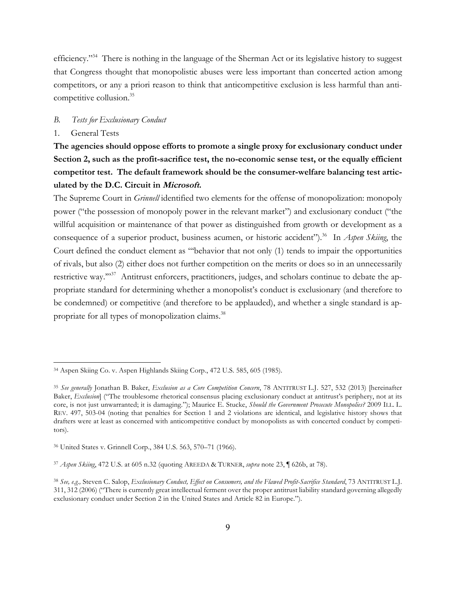efficiency."<sup>34</sup> There is nothing in the language of the Sherman Act or its legislative history to suggest that Congress thought that monopolistic abuses were less important than concerted action among competitors, or any a priori reason to think that anticompetitive exclusion is less harmful than anticompetitive collusion.<sup>35</sup>

#### *B. Tests for Exclusionary Conduct*

#### 1. General Tests

 $\overline{a}$ 

**The agencies should oppose efforts to promote a single proxy for exclusionary conduct under Section 2, such as the profit-sacrifice test, the no-economic sense test, or the equally efficient competitor test. The default framework should be the consumer-welfare balancing test articulated by the D.C. Circuit in Microsoft.**

The Supreme Court in *Grinnell* identified two elements for the offense of monopolization: monopoly power ("the possession of monopoly power in the relevant market") and exclusionary conduct ("the willful acquisition or maintenance of that power as distinguished from growth or development as a consequence of a superior product, business acumen, or historic accident").<sup>36</sup> In *Aspen Skiing*, the Court defined the conduct element as "'behavior that not only (1) tends to impair the opportunities of rivals, but also (2) either does not further competition on the merits or does so in an unnecessarily restrictive way."<sup>37</sup> Antitrust enforcers, practitioners, judges, and scholars continue to debate the appropriate standard for determining whether a monopolist's conduct is exclusionary (and therefore to be condemned) or competitive (and therefore to be applauded), and whether a single standard is appropriate for all types of monopolization claims.<sup>38</sup>

<sup>34</sup> Aspen Skiing Co. v. Aspen Highlands Skiing Corp., 472 U.S. 585, 605 (1985).

<sup>35</sup> *See generally* Jonathan B. Baker, *Exclusion as a Core Competition Concern*, 78 ANTITRUST L.J. 527, 532 (2013) [hereinafter Baker, *Exclusion*] ("The troublesome rhetorical consensus placing exclusionary conduct at antitrust's periphery, not at its core, is not just unwarranted; it is damaging."); Maurice E. Stucke, *Should the Government Prosecute Monopolies?* 2009 ILL. L. REV. 497, 503-04 (noting that penalties for Section 1 and 2 violations are identical, and legislative history shows that drafters were at least as concerned with anticompetitive conduct by monopolists as with concerted conduct by competitors).

<sup>36</sup> United States v. Grinnell Corp., 384 U.S. 563, 570–71 (1966).

<sup>37</sup> *Aspen Skiing*, 472 U.S. at 605 n.32 (quoting AREEDA & TURNER, *supra* note 23, ¶ 626b, at 78).

<sup>38</sup> *See, e.g.,* Steven C. Salop, *Exclusionary Conduct, Effect on Consumers, and the Flawed Profit-Sacrifice Standard*, 73 ANTITRUST L.J. 311, 312 (2006) ("There is currently great intellectual ferment over the proper antitrust liability standard governing allegedly exclusionary conduct under Section 2 in the United States and Article 82 in Europe.").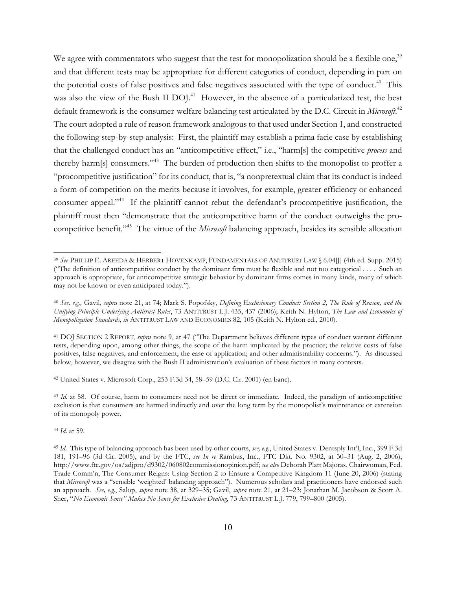We agree with commentators who suggest that the test for monopolization should be a flexible one,<sup>39</sup> and that different tests may be appropriate for different categories of conduct, depending in part on the potential costs of false positives and false negatives associated with the type of conduct.<sup>40</sup> This was also the view of the Bush II DOJ.<sup>41</sup> However, in the absence of a particularized test, the best default framework is the consumer-welfare balancing test articulated by the D.C. Circuit in *Microsoft*. 42 The court adopted a rule of reason framework analogous to that used under Section 1, and constructed the following step-by-step analysis: First, the plaintiff may establish a prima facie case by establishing that the challenged conduct has an "anticompetitive effect," i.e., "harm[s] the competitive *process* and thereby harm[s] consumers."<sup>43</sup> The burden of production then shifts to the monopolist to proffer a "procompetitive justification" for its conduct, that is, "a nonpretextual claim that its conduct is indeed a form of competition on the merits because it involves, for example, greater efficiency or enhanced consumer appeal."44 If the plaintiff cannot rebut the defendant's procompetitive justification, the plaintiff must then "demonstrate that the anticompetitive harm of the conduct outweighs the procompetitive benefit."45 The virtue of the *Microsoft* balancing approach, besides its sensible allocation

<sup>42</sup> United States v. Microsoft Corp., 253 F.3d 34, 58–59 (D.C. Cir. 2001) (en banc).

<sup>43</sup> *Id.* at 58. Of course, harm to consumers need not be direct or immediate. Indeed, the paradigm of anticompetitive exclusion is that consumers are harmed indirectly and over the long term by the monopolist's maintenance or extension of its monopoly power.

<sup>44</sup> *Id*. at 59.

<sup>39</sup> *See* PHILLIP E. AREEDA & HERBERT HOVENKAMP, FUNDAMENTALS OF ANTITRUST LAW § 6.04[J] (4th ed. Supp. 2015) ("The definition of anticompetitive conduct by the dominant firm must be flexible and not too categorical . . . . Such an approach is appropriate, for anticompetitive strategic behavior by dominant firms comes in many kinds, many of which may not be known or even anticipated today.").

<sup>40</sup> *See, e.g.,* Gavil, *supra* note 21, at 74; Mark S. Popofsky, *Defining Exclusionary Conduct: Section 2, The Rule of Reason, and the Unifying Principle Underlying Antitrust Rules*, 73 ANTITRUST L.J. 435, 437 (2006); Keith N. Hylton, *The Law and Economics of Monopolization Standards*, *in* ANTITRUST LAW AND ECONOMICS 82, 105 (Keith N. Hylton ed., 2010).

<sup>41</sup> DOJ SECTION 2 REPORT, *supra* note 9, at 47 ("The Department believes different types of conduct warrant different tests, depending upon, among other things, the scope of the harm implicated by the practice; the relative costs of false positives, false negatives, and enforcement; the ease of application; and other administrability concerns."). As discussed below, however, we disagree with the Bush II administration's evaluation of these factors in many contexts.

<sup>45</sup> *Id*. This type of balancing approach has been used by other courts, *see, e.g*., United States v. Dentsply Int'l, Inc., 399 F.3d 181, 191–96 (3d Cir. 2005), and by the FTC, *see In re* Rambus, Inc., FTC Dkt. No. 9302, at 30–31 (Aug. 2, 2006), http://www.ftc.gov/os/adjpro/d9302/060802commissionopinion.pdf; *see also* Deborah Platt Majoras, Chairwoman, Fed. Trade Comm'n, The Consumer Reigns: Using Section 2 to Ensure a Competitive Kingdom 11 (June 20, 2006) (stating that *Microsoft* was a "sensible 'weighted' balancing approach"). Numerous scholars and practitioners have endorsed such an approach. *See, e.g.*, Salop, *supra* note 38, at 329–35; Gavil, *supra* note 21, at 21–23; Jonathan M. Jacobson & Scott A. Sher, "*No Economic Sense" Makes No Sense for Exclusive Dealing*, 73 ANTITRUST L.J. 779, 799–800 (2005).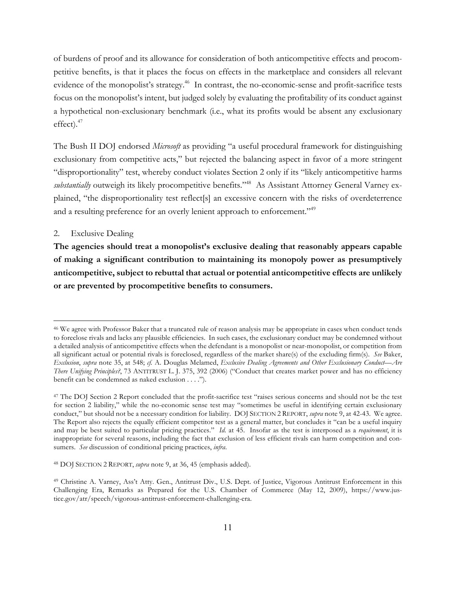of burdens of proof and its allowance for consideration of both anticompetitive effects and procompetitive benefits, is that it places the focus on effects in the marketplace and considers all relevant evidence of the monopolist's strategy.<sup>46</sup> In contrast, the no-economic-sense and profit-sacrifice tests focus on the monopolist's intent, but judged solely by evaluating the profitability of its conduct against a hypothetical non-exclusionary benchmark (i.e., what its profits would be absent any exclusionary effect).<sup>47</sup>

The Bush II DOJ endorsed *Microsoft* as providing "a useful procedural framework for distinguishing exclusionary from competitive acts," but rejected the balancing aspect in favor of a more stringent "disproportionality" test, whereby conduct violates Section 2 only if its "likely anticompetitive harms *substantially* outweigh its likely procompetitive benefits."<sup>48</sup> As Assistant Attorney General Varney explained, "the disproportionality test reflect[s] an excessive concern with the risks of overdeterrence and a resulting preference for an overly lenient approach to enforcement."<sup>49</sup>

### 2. Exclusive Dealing

 $\overline{a}$ 

**The agencies should treat a monopolist's exclusive dealing that reasonably appears capable of making a significant contribution to maintaining its monopoly power as presumptively anticompetitive, subject to rebuttal that actual or potential anticompetitive effects are unlikely or are prevented by procompetitive benefits to consumers.**

<sup>&</sup>lt;sup>46</sup> We agree with Professor Baker that a truncated rule of reason analysis may be appropriate in cases when conduct tends to foreclose rivals and lacks any plausible efficiencies. In such cases, the exclusionary conduct may be condemned without a detailed analysis of anticompetitive effects when the defendant is a monopolist or near-monopolist, or competition from all significant actual or potential rivals is foreclosed, regardless of the market share(s) of the excluding firm(s). *See* Baker, *Exclusion*, *supra* note 35, at 548; *cf.* A. Douglas Melamed, *Exclusive Dealing Agreements and Other Exclusionary Conduct—Are There Unifying Principles?*, 73 ANTITRUST L. J. 375, 392 (2006) ("Conduct that creates market power and has no efficiency benefit can be condemned as naked exclusion . . . .").

<sup>47</sup> The DOJ Section 2 Report concluded that the profit-sacrifice test "raises serious concerns and should not be the test for section 2 liability," while the no-economic sense test may "sometimes be useful in identifying certain exclusionary conduct," but should not be a necessary condition for liability. DOJ SECTION 2 REPORT, *supra* note 9, at 42-43. We agree. The Report also rejects the equally efficient competitor test as a general matter, but concludes it "can be a useful inquiry and may be best suited to particular pricing practices." *Id.* at 45. Insofar as the test is interposed as a *requirement*, it is inappropriate for several reasons, including the fact that exclusion of less efficient rivals can harm competition and consumers. *See* discussion of conditional pricing practices, *infra*.

<sup>48</sup> DOJ SECTION 2 REPORT, *supra* note 9, at 36, 45 (emphasis added).

<sup>49</sup> Christine A. Varney, Ass't Atty. Gen., Antitrust Div., U.S. Dept. of Justice, Vigorous Antitrust Enforcement in this Challenging Era, Remarks as Prepared for the U.S. Chamber of Commerce (May 12, 2009), https://www.justice.gov/atr/speech/vigorous-antitrust-enforcement-challenging-era.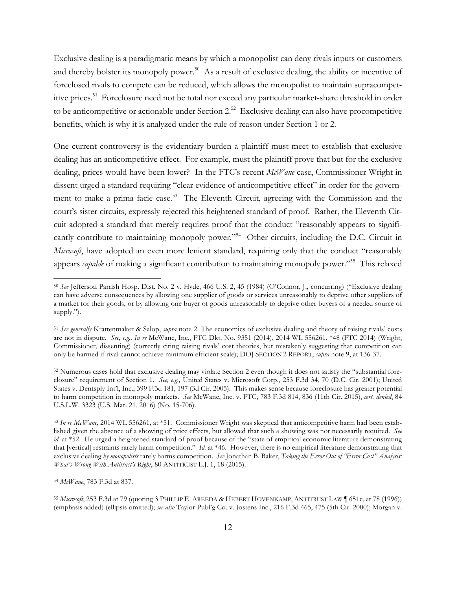Exclusive dealing is a paradigmatic means by which a monopolist can deny rivals inputs or customers and thereby bolster its monopoly power.<sup>50</sup> As a result of exclusive dealing, the ability or incentive of foreclosed rivals to compete can be reduced, which allows the monopolist to maintain supracompetitive prices.<sup>51</sup> Foreclosure need not be total nor exceed any particular market-share threshold in order to be anticompetitive or actionable under Section 2.<sup>52</sup> Exclusive dealing can also have procompetitive benefits, which is why it is analyzed under the rule of reason under Section 1 or 2.

One current controversy is the evidentiary burden a plaintiff must meet to establish that exclusive dealing has an anticompetitive effect. For example, must the plaintiff prove that but for the exclusive dealing, prices would have been lower? In the FTC's recent *McWane* case, Commissioner Wright in dissent urged a standard requiring "clear evidence of anticompetitive effect" in order for the government to make a prima facie case.<sup>53</sup> The Eleventh Circuit, agreeing with the Commission and the court's sister circuits, expressly rejected this heightened standard of proof. Rather, the Eleventh Circuit adopted a standard that merely requires proof that the conduct "reasonably appears to significantly contribute to maintaining monopoly power."<sup>54</sup> Other circuits, including the D.C. Circuit in *Microsoft*, have adopted an even more lenient standard, requiring only that the conduct "reasonably appears *capable* of making a significant contribution to maintaining monopoly power."<sup>55</sup> This relaxed

<sup>54</sup> *McWane*, 783 F.3d at 837.

<sup>50</sup> *See* Jefferson Parrish Hosp. Dist. No. 2 v. Hyde, 466 U.S. 2, 45 (1984) (O'Connor, J., concurring) ("Exclusive dealing can have adverse consequences by allowing one supplier of goods or services unreasonably to deprive other suppliers of a market for their goods, or by allowing one buyer of goods unreasonably to deprive other buyers of a needed source of supply.").

<sup>51</sup> *See generally* Krattenmaker & Salop, *supra* note 2. The economics of exclusive dealing and theory of raising rivals' costs are not in dispute. *See, e.g., In re* McWane, Inc., FTC Dkt. No. 9351 (2014), 2014 WL 556261, \*48 (FTC 2014) (Wright, Commissioner, dissenting) (correctly citing raising rivals' cost theories, but mistakenly suggesting that competition can only be harmed if rival cannot achieve minimum efficient scale); DOJ SECTION 2 REPORT, *supra* note 9, at 136-37.

<sup>52</sup> Numerous cases hold that exclusive dealing may violate Section 2 even though it does not satisfy the "substantial foreclosure" requirement of Section 1. *See, e.g.,* United States v. Microsoft Corp., 253 F.3d 34, 70 (D.C. Cir. 2001); United States v. Dentsply Int'l, Inc., 399 F.3d 181, 197 (3d Cir. 2005). This makes sense because foreclosure has greater potential to harm competition in monopoly markets. *See* McWane, Inc. v. FTC, 783 F.3d 814, 836 (11th Cir. 2015), *cert. denied*, 84 U.S.L.W. 3323 (U.S. Mar. 21, 2016) (No. 15-706).

<sup>53</sup> *In re McWane*, 2014 WL 556261, at \*51. Commissioner Wright was skeptical that anticompetitive harm had been established given the absence of a showing of price effects, but allowed that such a showing was not necessarily required. *See id.* at \*52. He urged a heightened standard of proof because of the "state of empirical economic literature demonstrating that [vertical] restraints rarely harm competition." *Id.* at \*46. However, there is no empirical literature demonstrating that exclusive dealing *by monopolists* rarely harms competition. *See* Jonathan B. Baker, *Taking the Error Out of "Error Cost" Analysis: What's Wrong With Antitrust's Right*, 80 ANTITRUST L.J. 1, 18 (2015).

<sup>55</sup> *Microsoft*, 253 F.3d at 79 (quoting 3 PHILLIP E. AREEDA & HEBERT HOVENKAMP, ANTITRUST LAW ¶ 651c, at 78 (1996)) (emphasis added) (ellipsis omitted); *see also* Taylor Publ'g Co. v. Jostens Inc., 216 F.3d 465, 475 (5th Cir. 2000); Morgan v.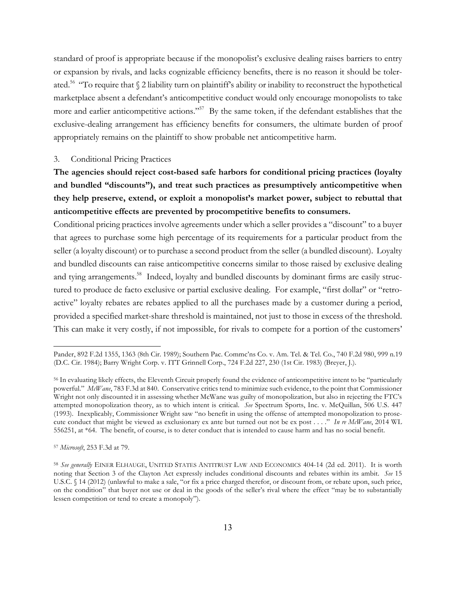standard of proof is appropriate because if the monopolist's exclusive dealing raises barriers to entry or expansion by rivals, and lacks cognizable efficiency benefits, there is no reason it should be tolerated.<sup>56</sup> "To require that § 2 liability turn on plaintiff's ability or inability to reconstruct the hypothetical marketplace absent a defendant's anticompetitive conduct would only encourage monopolists to take more and earlier anticompetitive actions."<sup>57</sup> By the same token, if the defendant establishes that the exclusive-dealing arrangement has efficiency benefits for consumers, the ultimate burden of proof appropriately remains on the plaintiff to show probable net anticompetitive harm.

### 3. Conditional Pricing Practices

# **The agencies should reject cost-based safe harbors for conditional pricing practices (loyalty and bundled "discounts"), and treat such practices as presumptively anticompetitive when they help preserve, extend, or exploit a monopolist's market power, subject to rebuttal that anticompetitive effects are prevented by procompetitive benefits to consumers.**

Conditional pricing practices involve agreements under which a seller provides a "discount" to a buyer that agrees to purchase some high percentage of its requirements for a particular product from the seller (a loyalty discount) or to purchase a second product from the seller (a bundled discount). Loyalty and bundled discounts can raise anticompetitive concerns similar to those raised by exclusive dealing and tying arrangements.<sup>58</sup> Indeed, loyalty and bundled discounts by dominant firms are easily structured to produce de facto exclusive or partial exclusive dealing. For example, "first dollar" or "retroactive" loyalty rebates are rebates applied to all the purchases made by a customer during a period, provided a specified market-share threshold is maintained, not just to those in excess of the threshold. This can make it very costly, if not impossible, for rivals to compete for a portion of the customers'

Pander, 892 F.2d 1355, 1363 (8th Cir. 1989); Southern Pac. Commc'ns Co. v. Am. Tel. & Tel. Co., 740 F.2d 980, 999 n.19 (D.C. Cir. 1984); Barry Wright Corp. v. ITT Grinnell Corp., 724 F.2d 227, 230 (1st Cir. 1983) (Breyer, J.).

<sup>56</sup> In evaluating likely effects, the Eleventh Circuit properly found the evidence of anticompetitive intent to be "particularly powerful." *McWane*, 783 F.3d at 840. Conservative critics tend to minimize such evidence, to the point that Commissioner Wright not only discounted it in assessing whether McWane was guilty of monopolization, but also in rejecting the FTC's attempted monopolization theory, as to which intent is critical. *See* Spectrum Sports, Inc. v. McQuillan, 506 U.S. 447 (1993). Inexplicably, Commissioner Wright saw "no benefit in using the offense of attempted monopolization to prosecute conduct that might be viewed as exclusionary ex ante but turned out not be ex post . . . ." *In re McWane*, 2014 WL 556251, at \*64. The benefit, of course, is to deter conduct that is intended to cause harm and has no social benefit.

<sup>57</sup> *Microsoft*, 253 F.3d at 79.

<sup>58</sup> *See generally* EINER ELHAUGE, UNITED STATES ANTITRUST LAW AND ECONOMICS 404-14 (2d ed. 2011). It is worth noting that Section 3 of the Clayton Act expressly includes conditional discounts and rebates within its ambit. *See* 15 U.S.C. § 14 (2012) (unlawful to make a sale, "or fix a price charged therefor, or discount from, or rebate upon, such price, on the condition" that buyer not use or deal in the goods of the seller's rival where the effect "may be to substantially lessen competition or tend to create a monopoly").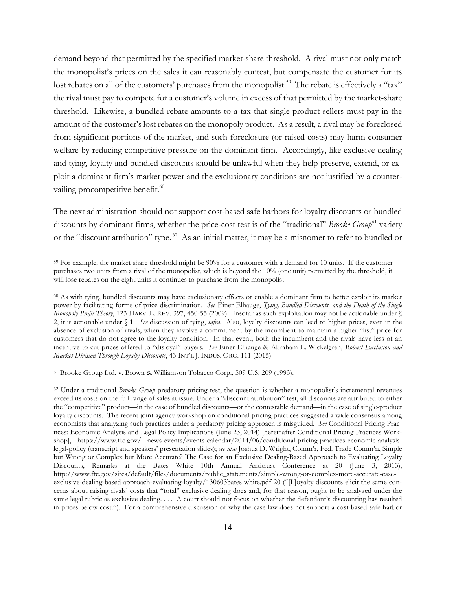demand beyond that permitted by the specified market-share threshold. A rival must not only match the monopolist's prices on the sales it can reasonably contest, but compensate the customer for its lost rebates on all of the customers' purchases from the monopolist.<sup>59</sup> The rebate is effectively a "tax" the rival must pay to compete for a customer's volume in excess of that permitted by the market-share threshold. Likewise, a bundled rebate amounts to a tax that single-product sellers must pay in the amount of the customer's lost rebates on the monopoly product. As a result, a rival may be foreclosed from significant portions of the market, and such foreclosure (or raised costs) may harm consumer welfare by reducing competitive pressure on the dominant firm. Accordingly, like exclusive dealing and tying, loyalty and bundled discounts should be unlawful when they help preserve, extend, or exploit a dominant firm's market power and the exclusionary conditions are not justified by a countervailing procompetitive benefit.<sup>60</sup>

The next administration should not support cost-based safe harbors for loyalty discounts or bundled discounts by dominant firms, whether the price-cost test is of the "traditional" *Brooke Group*<sup>61</sup> variety or the "discount attribution" type. 62 As an initial matter, it may be a misnomer to refer to bundled or

<sup>61</sup> Brooke Group Ltd. v. Brown & Williamson Tobacco Corp., 509 U.S. 209 (1993).

<sup>59</sup> For example, the market share threshold might be 90% for a customer with a demand for 10 units. If the customer purchases two units from a rival of the monopolist, which is beyond the 10% (one unit) permitted by the threshold, it will lose rebates on the eight units it continues to purchase from the monopolist.

<sup>60</sup> As with tying, bundled discounts may have exclusionary effects or enable a dominant firm to better exploit its market power by facilitating forms of price discrimination. *See* Einer Elhauge, *Tying, Bundled Discounts, and the Death of the Single Monopoly Profit Theory*, 123 HARV. L. REV. 397, 450-55 (2009). Insofar as such exploitation may not be actionable under § 2, it is actionable under § 1. *See* discussion of tying, *infra*. Also, loyalty discounts can lead to higher prices, even in the absence of exclusion of rivals, when they involve a commitment by the incumbent to maintain a higher "list" price for customers that do not agree to the loyalty condition. In that event, both the incumbent and the rivals have less of an incentive to cut prices offered to "disloyal" buyers. *See* Einer Elhauge & Abraham L. Wickelgren, *Robust Exclusion and Market Division Through Loyalty Discounts*, 43 INT'L J. INDUS. ORG. 111 (2015).

<sup>&</sup>lt;sup>62</sup> Under a traditional *Brooke Group* predatory-pricing test, the question is whether a monopolist's incremental revenues exceed its costs on the full range of sales at issue. Under a "discount attribution" test, all discounts are attributed to either the "competitive" product—in the case of bundled discounts—or the contestable demand—in the case of single-product loyalty discounts. The recent joint agency workshop on conditional pricing practices suggested a wide consensus among economists that analyzing such practices under a predatory-pricing approach is misguided. *See* Conditional Pricing Practices: Economic Analysis and Legal Policy Implications (June 23, 2014) [hereinafter Conditional Pricing Practices Workshop], https://www.ftc.gov/ news-events/events-calendar/2014/06/conditional-pricing-practices-economic-analysislegal-policy (transcript and speakers' presentation slides); *see also* Joshua D. Wright, Comm'r, Fed. Trade Comm'n, Simple but Wrong or Complex but More Accurate? The Case for an Exclusive Dealing-Based Approach to Evaluating Loyalty Discounts, Remarks at the Bates White 10th Annual Antitrust Conference at 20 (June 3, 2013), http://www.ftc.gov/sites/default/files/documents/public\_statements/simple-wrong-or-complex-more-accurate-caseexclusive-dealing-based-approach-evaluating-loyalty/130603bates white.pdf 20 ("[L]oyalty discounts elicit the same concerns about raising rivals' costs that "total" exclusive dealing does and, for that reason, ought to be analyzed under the same legal rubric as exclusive dealing. . . . A court should not focus on whether the defendant's discounting has resulted in prices below cost."). For a comprehensive discussion of why the case law does not support a cost-based safe harbor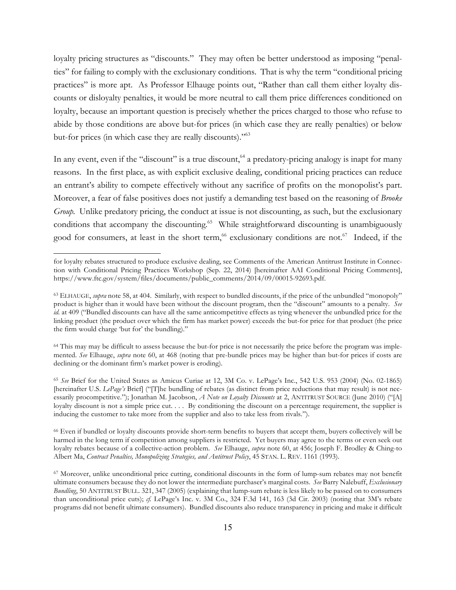loyalty pricing structures as "discounts." They may often be better understood as imposing "penalties" for failing to comply with the exclusionary conditions. That is why the term "conditional pricing practices" is more apt. As Professor Elhauge points out, "Rather than call them either loyalty discounts or disloyalty penalties, it would be more neutral to call them price differences conditioned on loyalty, because an important question is precisely whether the prices charged to those who refuse to abide by those conditions are above but-for prices (in which case they are really penalties) or below but-for prices (in which case they are really discounts)."63

In any event, even if the "discount" is a true discount, <sup>64</sup> a predatory-pricing analogy is inapt for many reasons. In the first place, as with explicit exclusive dealing, conditional pricing practices can reduce an entrant's ability to compete effectively without any sacrifice of profits on the monopolist's part. Moreover, a fear of false positives does not justify a demanding test based on the reasoning of *Brooke Group.* Unlike predatory pricing, the conduct at issue is not discounting, as such, but the exclusionary conditions that accompany the discounting.<sup>65</sup> While straightforward discounting is unambiguously good for consumers, at least in the short term,<sup>66</sup> exclusionary conditions are not.<sup>67</sup> Indeed, if the

 $\overline{a}$ 

<sup>64</sup> This may may be difficult to assess because the but-for price is not necessarily the price before the program was implemented. *See* Elhauge, *supra* note 60, at 468 (noting that pre-bundle prices may be higher than but-for prices if costs are declining or the dominant firm's market power is eroding).

<sup>65</sup> *See* Brief for the United States as Amicus Curiae at 12, 3M Co. v. LePage's Inc., 542 U.S. 953 (2004) (No. 02-1865) [hereinafter U.S. *LePage's* Brief] ("[T]he bundling of rebates (as distinct from price reductions that may result) is not necessarily procompetitive."); Jonathan M. Jacobson, *A Note on Loyalty Discounts* at 2, ANTITRUST SOURCE (June 2010) ("[A] loyalty discount is not a simple price cut. . . . By conditioning the discount on a percentage requirement, the supplier is inducing the customer to take more from the supplier and also to take less from rivals.").

<sup>66</sup> Even if bundled or loyalty discounts provide short-term benefits to buyers that accept them, buyers collectively will be harmed in the long term if competition among suppliers is restricted. Yet buyers may agree to the terms or even seek out loyalty rebates because of a collective-action problem. *See* Elhauge, *supra* note 60, at 456; Joseph F. Brodley & Ching-to Albert Ma, *Contract Penalties, Monopolizing Strategies, and Antitrust Policy*, 45 STAN. L. REV. 1161 (1993).

for loyalty rebates structured to produce exclusive dealing, see Comments of the American Antitrust Institute in Connection with Conditional Pricing Practices Workshop (Sep. 22, 2014) [hereinafter AAI Conditional Pricing Comments], https://www.ftc.gov/system/files/documents/public\_comments/2014/09/00015-92693.pdf.

<sup>&</sup>lt;sup>63</sup> ELHAUGE, *supra* note 58, at 404. Similarly, with respect to bundled discounts, if the price of the unbundled "monopoly" product is higher than it would have been without the discount program, then the "discount" amounts to a penalty. *See id.* at 409 ("Bundled discounts can have all the same anticompetitive effects as tying whenever the unbundled price for the linking product (the product over which the firm has market power) exceeds the but-for price for that product (the price the firm would charge 'but for' the bundling)."

<sup>67</sup> Moreover, unlike unconditional price cutting, conditional discounts in the form of lump-sum rebates may not benefit ultimate consumers because they do not lower the intermediate purchaser's marginal costs. *See* Barry Nalebuff, *Exclusionary Bundling*, 50 ANTITRUST BULL. 321, 347 (2005) (explaining that lump-sum rebate is less likely to be passed on to consumers than unconditional price cuts); *cf.* LePage's Inc. v. 3M Co., 324 F.3d 141, 163 (3d Cir. 2003) (noting that 3M's rebate programs did not benefit ultimate consumers). Bundled discounts also reduce transparency in pricing and make it difficult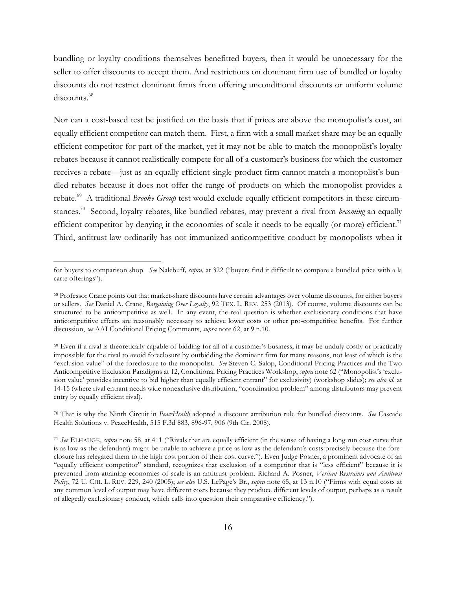bundling or loyalty conditions themselves benefitted buyers, then it would be unnecessary for the seller to offer discounts to accept them. And restrictions on dominant firm use of bundled or loyalty discounts do not restrict dominant firms from offering unconditional discounts or uniform volume discounts.<sup>68</sup>

Nor can a cost-based test be justified on the basis that if prices are above the monopolist's cost, an equally efficient competitor can match them. First, a firm with a small market share may be an equally efficient competitor for part of the market, yet it may not be able to match the monopolist's loyalty rebates because it cannot realistically compete for all of a customer's business for which the customer receives a rebate—just as an equally efficient single-product firm cannot match a monopolist's bundled rebates because it does not offer the range of products on which the monopolist provides a rebate.<sup>69</sup> A traditional *Brooke Group* test would exclude equally efficient competitors in these circumstances.70 Second, loyalty rebates, like bundled rebates, may prevent a rival from *becoming* an equally efficient competitor by denying it the economies of scale it needs to be equally (or more) efficient.<sup>71</sup> Third, antitrust law ordinarily has not immunized anticompetitive conduct by monopolists when it

for buyers to comparison shop. *See* Nalebuff*, supra,* at 322 ("buyers find it difficult to compare a bundled price with a la carte offerings").

<sup>68</sup> Professor Crane points out that market-share discounts have certain advantages over volume discounts, for either buyers or sellers. *See* Daniel A. Crane, *Bargaining Over Loyalty*, 92 TEX. L. REV. 253 (2013). Of course, volume discounts can be structured to be anticompetitive as well. In any event, the real question is whether exclusionary conditions that have anticompetitive effects are reasonably necessary to achieve lower costs or other pro-competitive benefits. For further discussion, *see* AAI Conditional Pricing Comments, *supra* note 62, at 9 n.10.

 $69$  Even if a rival is theoretically capable of bidding for all of a customer's business, it may be unduly costly or practically impossible for the rival to avoid foreclosure by outbidding the dominant firm for many reasons, not least of which is the "exclusion value" of the foreclosure to the monopolist. *See* Steven C. Salop, Conditional Pricing Practices and the Two Anticompetitive Exclusion Paradigms at 12, Conditional Pricing Practices Workshop, *supra* note 62 ("Monopolist's 'exclusion value' provides incentive to bid higher than equally efficient entrant" for exclusivity) (workshop slides); *see also id.* at 14-15 (where rival entrant needs wide nonexclusive distribution, "coordination problem" among distributors may prevent entry by equally efficient rival).

<sup>70</sup> That is why the Ninth Circuit in *PeaceHealth* adopted a discount attribution rule for bundled discounts. *See* Cascade Health Solutions v. PeaceHealth, 515 F.3d 883, 896-97, 906 (9th Cir. 2008).

<sup>71</sup> *See* ELHAUGE, *supra* note 58, at 411 ("Rivals that are equally efficient (in the sense of having a long run cost curve that is as low as the defendant) might be unable to achieve a price as low as the defendant's costs precisely because the foreclosure has relegated them to the high cost portion of their cost curve."). Even Judge Posner, a prominent advocate of an "equally efficient competitor" standard, recognizes that exclusion of a competitor that is "less efficient" because it is prevented from attaining economies of scale is an antitrust problem. Richard A. Posner, *Vertical Restraints and Antitrust Policy*, 72 U. CHI. L. REV. 229, 240 (2005); *see also* U.S. LePage's Br., *supra* note 65, at 13 n.10 ("Firms with equal costs at any common level of output may have different costs because they produce different levels of output, perhaps as a result of allegedly exclusionary conduct, which calls into question their comparative efficiency.").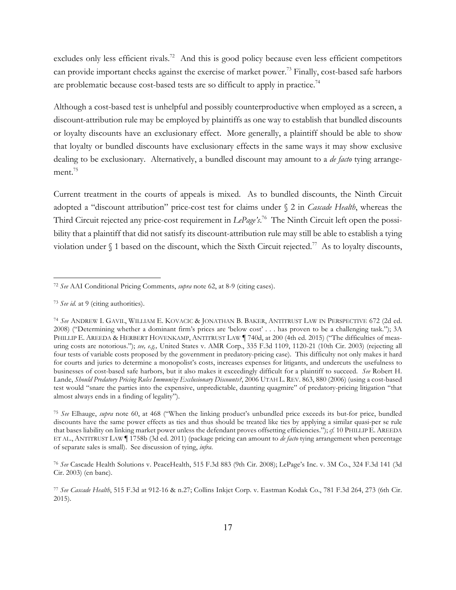excludes only less efficient rivals.<sup>72</sup> And this is good policy because even less efficient competitors can provide important checks against the exercise of market power.<sup>73</sup> Finally, cost-based safe harbors are problematic because cost-based tests are so difficult to apply in practice.<sup>74</sup>

Although a cost-based test is unhelpful and possibly counterproductive when employed as a screen, a discount-attribution rule may be employed by plaintiffs as one way to establish that bundled discounts or loyalty discounts have an exclusionary effect. More generally, a plaintiff should be able to show that loyalty or bundled discounts have exclusionary effects in the same ways it may show exclusive dealing to be exclusionary. Alternatively, a bundled discount may amount to a *de facto* tying arrangement.<sup>75</sup>

Current treatment in the courts of appeals is mixed. As to bundled discounts, the Ninth Circuit adopted a "discount attribution" price-cost test for claims under § 2 in *Cascade Health*, whereas the Third Circuit rejected any price-cost requirement in *LePage's*. 76 The Ninth Circuit left open the possibility that a plaintiff that did not satisfy its discount-attribution rule may still be able to establish a tying violation under  $\S$  1 based on the discount, which the Sixth Circuit rejected.<sup>77</sup> As to loyalty discounts,

<sup>72</sup> *See* AAI Conditional Pricing Comments, *supra* note 62, at 8-9 (citing cases).

<sup>73</sup> *See id.* at 9 (citing authorities).

<sup>74</sup> *See* ANDREW I. GAVIL, WILLIAM E. KOVACIC & JONATHAN B. BAKER, ANTITRUST LAW IN PERSPECTIVE 672 (2d ed. 2008) ("Determining whether a dominant firm's prices are 'below cost' . . . has proven to be a challenging task."); 3A PHILLIP E. AREEDA & HERBERT HOVENKAMP, ANTITRUST LAW 1740d, at 200 (4th ed. 2015) ("The difficulties of measuring costs are notorious."); *see, e.g.,* United States v. AMR Corp., 335 F.3d 1109, 1120-21 (10th Cir. 2003) (rejecting all four tests of variable costs proposed by the government in predatory-pricing case). This difficulty not only makes it hard for courts and juries to determine a monopolist's costs, increases expenses for litigants, and undercuts the usefulness to businesses of cost-based safe harbors, but it also makes it exceedingly difficult for a plaintiff to succeed. *See* Robert H. Lande, *Should Predatory Pricing Rules Immunize Exclusionary Discounts?*, 2006 UTAH L. REV. 863, 880 (2006) (using a cost-based test would "snare the parties into the expensive, unpredictable, daunting quagmire" of predatory-pricing litigation "that almost always ends in a finding of legality").

<sup>75</sup> *See* Elhauge, *supra* note 60, at 468 ("When the linking product's unbundled price exceeds its but-for price, bundled discounts have the same power effects as ties and thus should be treated like ties by applying a similar quasi-per se rule that bases liability on linking market power unless the defendant proves offsetting efficiencies."); *cf.* 10 PHILLIP E. AREEDA ET AL., ANTITRUST LAW ¶ 1758b (3d ed. 2011) (package pricing can amount to *de facto* tying arrangement when percentage of separate sales is small). See discussion of tying, *infra*.

<sup>76</sup> *See* Cascade Health Solutions v. PeaceHealth, 515 F.3d 883 (9th Cir. 2008); LePage's Inc. v. 3M Co., 324 F.3d 141 (3d Cir. 2003) (en banc).

<sup>77</sup> *See Cascade Health*, 515 F.3d at 912-16 & n.27; Collins Inkjet Corp. v. Eastman Kodak Co., 781 F.3d 264, 273 (6th Cir. 2015).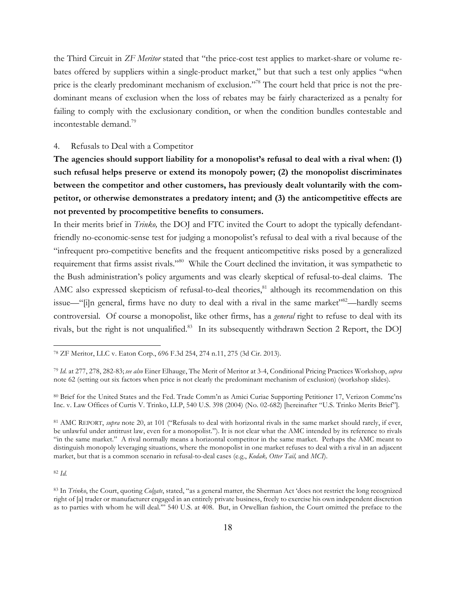the Third Circuit in *ZF Meritor* stated that "the price-cost test applies to market-share or volume rebates offered by suppliers within a single-product market," but that such a test only applies "when price is the clearly predominant mechanism of exclusion."<sup>78</sup> The court held that price is not the predominant means of exclusion when the loss of rebates may be fairly characterized as a penalty for failing to comply with the exclusionary condition, or when the condition bundles contestable and incontestable demand.79

#### 4. Refusals to Deal with a Competitor

**The agencies should support liability for a monopolist's refusal to deal with a rival when: (1) such refusal helps preserve or extend its monopoly power; (2) the monopolist discriminates between the competitor and other customers, has previously dealt voluntarily with the competitor, or otherwise demonstrates a predatory intent; and (3) the anticompetitive effects are not prevented by procompetitive benefits to consumers.**

In their merits brief in *Trinko,* the DOJ and FTC invited the Court to adopt the typically defendantfriendly no-economic-sense test for judging a monopolist's refusal to deal with a rival because of the "infrequent pro-competitive benefits and the frequent anticompetitive risks posed by a generalized requirement that firms assist rivals."<sup>80</sup> While the Court declined the invitation, it was sympathetic to the Bush administration's policy arguments and was clearly skeptical of refusal-to-deal claims. The AMC also expressed skepticism of refusal-to-deal theories,<sup>81</sup> although its recommendation on this issue—"[i]n general, firms have no duty to deal with a rival in the same market"<sup>82</sup>—hardly seems controversial. Of course a monopolist, like other firms, has a *general* right to refuse to deal with its rivals, but the right is not unqualified.<sup>83</sup> In its subsequently withdrawn Section 2 Report, the DOJ

<sup>82</sup> *Id.*

<sup>78</sup> ZF Meritor, LLC v. Eaton Corp., 696 F.3d 254, 274 n.11, 275 (3d Cir. 2013).

<sup>79</sup> *Id.* at 277, 278, 282-83; *see also* Einer Elhauge, The Merit of Meritor at 3-4, Conditional Pricing Practices Workshop, *supra* note 62 (setting out six factors when price is not clearly the predominant mechanism of exclusion) (workshop slides).

<sup>80</sup> Brief for the United States and the Fed. Trade Comm'n as Amici Curiae Supporting Petitioner 17, Verizon Commc'ns Inc. v. Law Offices of Curtis V. Trinko, LLP, 540 U.S. 398 (2004) (No. 02-682) [hereinafter "U.S. Trinko Merits Brief"].

<sup>81</sup> AMC REPORT, *supra* note 20, at 101 ("Refusals to deal with horizontal rivals in the same market should rarely, if ever, be unlawful under antitrust law, even for a monopolist."). It is not clear what the AMC intended by its reference to rivals "in the same market." A rival normally means a horizontal competitor in the same market. Perhaps the AMC meant to distinguish monopoly leveraging situations, where the monopolist in one market refuses to deal with a rival in an adjacent market, but that is a common scenario in refusal-to-deal cases (e.g., *Kodak, Otter Tail,* and *MCI*).

<sup>83</sup> In *Trinko*, the Court, quoting *Colgate*, stated, "as a general matter, the Sherman Act 'does not restrict the long recognized right of [a] trader or manufacturer engaged in an entirely private business, freely to exercise his own independent discretion as to parties with whom he will deal.'" 540 U.S. at 408. But, in Orwellian fashion, the Court omitted the preface to the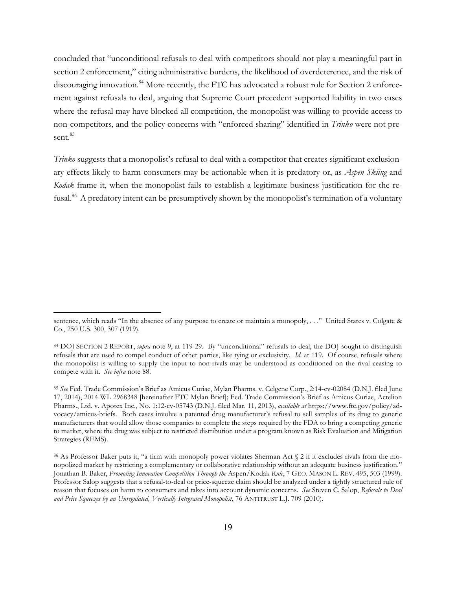concluded that "unconditional refusals to deal with competitors should not play a meaningful part in section 2 enforcement," citing administrative burdens, the likelihood of overdeterence, and the risk of discouraging innovation.<sup>84</sup> More recently, the FTC has advocated a robust role for Section 2 enforcement against refusals to deal, arguing that Supreme Court precedent supported liability in two cases where the refusal may have blocked all competition, the monopolist was willing to provide access to non-competitors, and the policy concerns with "enforced sharing" identified in *Trinko* were not present.<sup>85</sup>

*Trinko* suggests that a monopolist's refusal to deal with a competitor that creates significant exclusionary effects likely to harm consumers may be actionable when it is predatory or, as *Aspen Skiing* and *Kodak* frame it, when the monopolist fails to establish a legitimate business justification for the refusal.<sup>86</sup> A predatory intent can be presumptively shown by the monopolist's termination of a voluntary

sentence, which reads "In the absence of any purpose to create or maintain a monopoly, . . ." United States v. Colgate & Co., 250 U.S. 300, 307 (1919).

<sup>84</sup> DOJ SECTION 2 REPORT, *supra* note 9, at 119-29. By "unconditional" refusals to deal, the DOJ sought to distinguish refusals that are used to compel conduct of other parties, like tying or exclusivity. *Id.* at 119. Of course, refusals where the monopolist is willing to supply the input to non-rivals may be understood as conditioned on the rival ceasing to compete with it. *See infra* note 88.

<sup>85</sup> *See* Fed. Trade Commission's Brief as Amicus Curiae, Mylan Pharms. v. Celgene Corp., 2:14-cv-02084 (D.N.J. filed June 17, 2014), 2014 WL 2968348 [hereinafter FTC Mylan Brief]; Fed. Trade Commission's Brief as Amicus Curiae, Actelion Pharms., Ltd. v. Apotex Inc., No. 1:12-cv-05743 (D.N.J. filed Mar. 11, 2013), *available at* https://www.ftc.gov/policy/advocacy/amicus-briefs. Both cases involve a patented drug manufacturer's refusal to sell samples of its drug to generic manufacturers that would allow those companies to complete the steps required by the FDA to bring a competing generic to market, where the drug was subject to restricted distribution under a program known as Risk Evaluation and Mitigation Strategies (REMS).

<sup>86</sup> As Professor Baker puts it, "a firm with monopoly power violates Sherman Act § 2 if it excludes rivals from the monopolized market by restricting a complementary or collaborative relationship without an adequate business justification." Jonathan B. Baker, *Promoting Innovation Competition Through the* Aspen/Kodak *Rule*, 7 GEO. MASON L. REV. 495, 503 (1999). Professor Salop suggests that a refusal-to-deal or price-squeeze claim should be analyzed under a tightly structured rule of reason that focuses on harm to consumers and takes into account dynamic concerns. *See* Steven C. Salop, *Refusals to Deal and Price Squeezes by an Unregulated, Vertically Integrated Monopolist*, 76 ANTITRUST L.J. 709 (2010).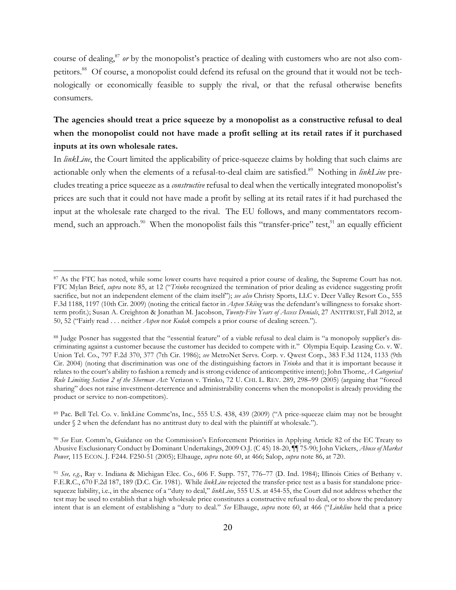course of dealing, <sup>87</sup> *or* by the monopolist's practice of dealing with customers who are not also competitors.<sup>88</sup> Of course, a monopolist could defend its refusal on the ground that it would not be technologically or economically feasible to supply the rival, or that the refusal otherwise benefits consumers.

## **The agencies should treat a price squeeze by a monopolist as a constructive refusal to deal when the monopolist could not have made a profit selling at its retail rates if it purchased inputs at its own wholesale rates.**

In *linkLine*, the Court limited the applicability of price-squeeze claims by holding that such claims are actionable only when the elements of a refusal-to-deal claim are satisfied. <sup>89</sup> Nothing in *linkLine* precludes treating a price squeeze as a *constructive* refusal to deal when the vertically integrated monopolist's prices are such that it could not have made a profit by selling at its retail rates if it had purchased the input at the wholesale rate charged to the rival. The EU follows, and many commentators recommend, such an approach.<sup>90</sup> When the monopolist fails this "transfer-price" test,<sup>91</sup> an equally efficient

<sup>&</sup>lt;sup>87</sup> As the FTC has noted, while some lower courts have required a prior course of dealing, the Supreme Court has not. FTC Mylan Brief, *supra* note 85, at 12 ("*Trinko* recognized the termination of prior dealing as evidence suggesting profit sacrifice, but not an independent element of the claim itself"); *see also* Christy Sports, LLC v. Deer Valley Resort Co., 555 F.3d 1188, 1197 (10th Cir. 2009) (noting the critical factor in *Aspen Skiing* was the defendant's willingness to forsake shortterm profit.); Susan A. Creighton & Jonathan M. Jacobson, *Twenty-Five Years of Access Denials*, 27 ANTITRUST, Fall 2012, at 50, 52 ("Fairly read . . . neither *Aspen* nor *Kodak* compels a prior course of dealing screen.").

<sup>88</sup> Judge Posner has suggested that the "essential feature" of a viable refusal to deal claim is "a monopoly supplier's discriminating against a customer because the customer has decided to compete with it." Olympia Equip. Leasing Co. v. W. Union Tel. Co., 797 F.2d 370, 377 (7th Cir. 1986); *see* MetroNet Servs. Corp. v. Qwest Corp., 383 F.3d 1124, 1133 (9th Cir. 2004) (noting that discrimination was one of the distinguishing factors in *Trinko* and that it is important because it relates to the court's ability to fashion a remedy and is strong evidence of anticompetitive intent); John Thorne, *A Categorical Rule Limiting Section 2 of the Sherman Act:* Verizon v. Trinko, 72 U. CHI. L. REV. 289, 298–99 (2005) (arguing that "forced sharing" does not raise investment-deterrence and administrability concerns when the monopolist is already providing the product or service to non-competitors).

<sup>89</sup> Pac. Bell Tel. Co. v. linkLine Commc'ns, Inc., 555 U.S. 438, 439 (2009) ("A price-squeeze claim may not be brought under § 2 when the defendant has no antitrust duty to deal with the plaintiff at wholesale.").

<sup>90</sup> *See* Eur. Comm'n, Guidance on the Commission's Enforcement Priorities in Applying Article 82 of the EC Treaty to Abusive Exclusionary Conduct by Dominant Undertakings, 2009 O.J. (C 45) 18-20, ¶¶ 75-90; John Vickers, *Abuse of Market Power*, 115 ECON. J. F244. F250-51 (2005); Elhauge, *supra* note 60, at 466; Salop, *supra* note 86, at 720.

<sup>91</sup> *See, e.g.*, Ray v. Indiana & Michigan Elec. Co., 606 F. Supp. 757, 776–77 (D. Ind. 1984); Illinois Cities of Bethany v. F.E.R.C., 670 F.2d 187, 189 (D.C. Cir. 1981). While *linkLine* rejected the transfer-price test as a basis for standalone pricesqueeze liability, i.e., in the absence of a "duty to deal," *linkLine*, 555 U.S. at 454-55, the Court did not address whether the test may be used to establish that a high wholesale price constitutes a constructive refusal to deal, or to show the predatory intent that is an element of establishing a "duty to deal." *See* Elhauge, *supra* note 60, at 466 ("*Linkline* held that a price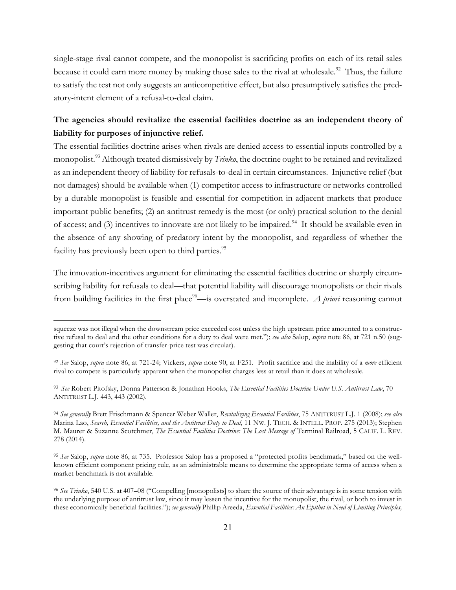single-stage rival cannot compete, and the monopolist is sacrificing profits on each of its retail sales because it could earn more money by making those sales to the rival at wholesale.<sup>92</sup> Thus, the failure to satisfy the test not only suggests an anticompetitive effect, but also presumptively satisfies the predatory-intent element of a refusal-to-deal claim.

### **The agencies should revitalize the essential facilities doctrine as an independent theory of liability for purposes of injunctive relief.**

The essential facilities doctrine arises when rivals are denied access to essential inputs controlled by a monopolist.93 Although treated dismissively by *Trinko*, the doctrine ought to be retained and revitalized as an independent theory of liability for refusals-to-deal in certain circumstances. Injunctive relief (but not damages) should be available when (1) competitor access to infrastructure or networks controlled by a durable monopolist is feasible and essential for competition in adjacent markets that produce important public benefits; (2) an antitrust remedy is the most (or only) practical solution to the denial of access; and (3) incentives to innovate are not likely to be impaired.<sup>94</sup> It should be available even in the absence of any showing of predatory intent by the monopolist, and regardless of whether the facility has previously been open to third parties.<sup>95</sup>

The innovation-incentives argument for eliminating the essential facilities doctrine or sharply circumscribing liability for refusals to deal—that potential liability will discourage monopolists or their rivals from building facilities in the first place<sup>96</sup>—is overstated and incomplete. *A priori* reasoning cannot

squeeze was not illegal when the downstream price exceeded cost unless the high upstream price amounted to a constructive refusal to deal and the other conditions for a duty to deal were met."); *see also* Salop, *supra* note 86, at 721 n.50 (suggesting that court's rejection of transfer-price test was circular).

<sup>92</sup> *See* Salop, *supra* note 86, at 721-24; Vickers, *supra* note 90, at F251. Profit sacrifice and the inability of a *more* efficient rival to compete is particularly apparent when the monopolist charges less at retail than it does at wholesale.

<sup>93</sup> *See* Robert Pitofsky, Donna Patterson & Jonathan Hooks, *The Essential Facilities Doctrine Under U.S. Antitrust Law*, 70 ANTITRUST L.J. 443, 443 (2002).

<sup>94</sup> *See generally* Brett Frischmann & Spencer Weber Waller, *Revitalizing Essential Facilities*, 75 ANTITRUST L.J. 1 (2008); *see also*  Marina Lao, *Search, Essential Facilities, and the Antitrust Duty to Deal*, 11 NW. J. TECH. & INTELL. PROP. 275 (2013); Stephen M. Maurer & Suzanne Scotchmer, *The Essential Facilities Doctrine: The Lost Message of* Terminal Railroad, 5 CALIF. L. REV. 278 (2014).

<sup>95</sup> *See* Salop, *supra* note 86, at 735. Professor Salop has a proposed a "protected profits benchmark," based on the wellknown efficient component pricing rule, as an administrable means to determine the appropriate terms of access when a market benchmark is not available.

<sup>96</sup> *See Trinko*, 540 U.S. at 407–08 ("Compelling [monopolists] to share the source of their advantage is in some tension with the underlying purpose of antitrust law, since it may lessen the incentive for the monopolist, the rival, or both to invest in these economically beneficial facilities."); *see generally* Phillip Areeda, *Essential Facilities: An Epithet in Need of Limiting Principles,*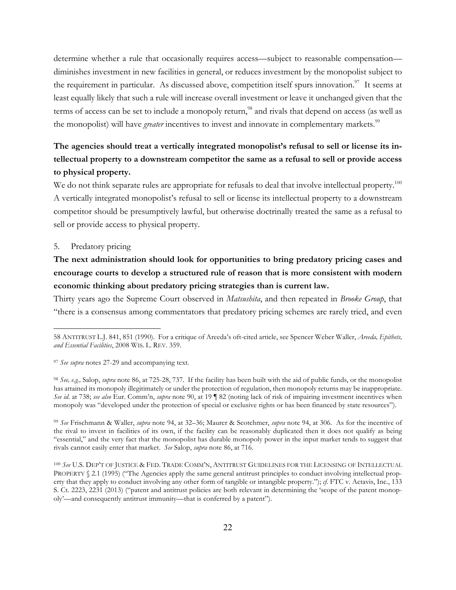determine whether a rule that occasionally requires access—subject to reasonable compensation diminishes investment in new facilities in general, or reduces investment by the monopolist subject to the requirement in particular. As discussed above, competition itself spurs innovation.<sup>97</sup> It seems at least equally likely that such a rule will increase overall investment or leave it unchanged given that the terms of access can be set to include a monopoly return, <sup>98</sup> and rivals that depend on access (as well as the monopolist) will have *greater* incentives to invest and innovate in complementary markets.<sup>99</sup>

# **The agencies should treat a vertically integrated monopolist's refusal to sell or license its intellectual property to a downstream competitor the same as a refusal to sell or provide access to physical property.**

We do not think separate rules are appropriate for refusals to deal that involve intellectual property.<sup>100</sup> A vertically integrated monopolist's refusal to sell or license its intellectual property to a downstream competitor should be presumptively lawful, but otherwise doctrinally treated the same as a refusal to sell or provide access to physical property.

### 5. Predatory pricing

 $\overline{a}$ 

# **The next administration should look for opportunities to bring predatory pricing cases and encourage courts to develop a structured rule of reason that is more consistent with modern economic thinking about predatory pricing strategies than is current law.**

Thirty years ago the Supreme Court observed in *Matsushita*, and then repeated in *Brooke Group*, that "there is a consensus among commentators that predatory pricing schemes are rarely tried, and even

<sup>99</sup> *See* Frischmann & Waller, *supra* note 94, at 32–36; Maurer & Scotchmer, *supra* note 94, at 306. As for the incentive of the rival to invest in facilities of its own, if the facility can be reasonably duplicated then it does not qualify as being "essential," and the very fact that the monopolist has durable monopoly power in the input market tends to suggest that rivals cannot easily enter that market. *See* Salop, *supra* note 86, at 716.

<sup>58</sup> ANTITRUST L.J. 841, 851 (1990). For a critique of Areeda's oft-cited article, see Spencer Weber Waller, *Areeda, Epithets, and Essential Facilities*, 2008 WIS. L. REV. 359.

<sup>97</sup> *See supra* notes 27-29 and accompanying text.

<sup>98</sup> *See, e.g.,* Salop, *supra* note 86, at 725-28, 737. If the facility has been built with the aid of public funds, or the monopolist has attained its monopoly illegitimately or under the protection of regulation, then monopoly returns may be inappropriate. *See id*. at 738; *see also* Eur. Comm'n, *supra* note 90, at 19 ¶ 82 (noting lack of risk of impairing investment incentives when monopoly was "developed under the protection of special or exclusive rights or has been financed by state resources").

<sup>100</sup> *See* U.S. DEP'T OF JUSTICE & FED. TRADE COMM'N, ANTITRUST GUIDELINES FOR THE LICENSING OF INTELLECTUAL PROPERTY § 2.1 (1995) ("The Agencies apply the same general antitrust principles to conduct involving intellectual property that they apply to conduct involving any other form of tangible or intangible property."); *cf.* FTC v. Actavis, Inc., 133 S. Ct. 2223, 2231 (2013) ("patent and antitrust policies are both relevant in determining the 'scope of the patent monopoly'—and consequently antitrust immunity—that is conferred by a patent").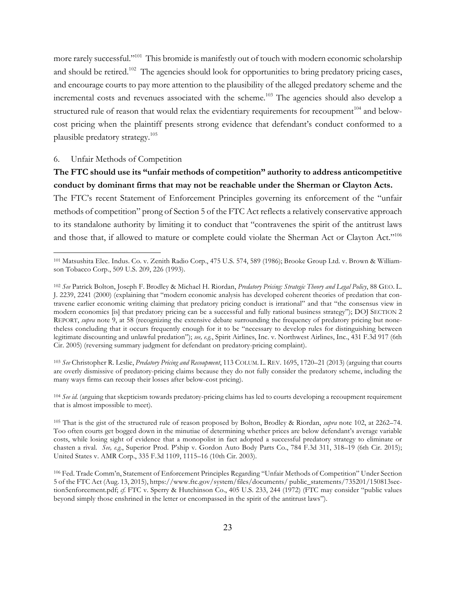more rarely successful."<sup>101</sup> This bromide is manifestly out of touch with modern economic scholarship and should be retired.<sup>102</sup> The agencies should look for opportunities to bring predatory pricing cases, and encourage courts to pay more attention to the plausibility of the alleged predatory scheme and the incremental costs and revenues associated with the scheme.<sup>103</sup> The agencies should also develop a structured rule of reason that would relax the evidentiary requirements for recoupment<sup>104</sup> and belowcost pricing when the plaintiff presents strong evidence that defendant's conduct conformed to a plausible predatory strategy.105

#### 6. Unfair Methods of Competition

 $\overline{a}$ 

### **The FTC should use its "unfair methods of competition" authority to address anticompetitive conduct by dominant firms that may not be reachable under the Sherman or Clayton Acts.**

The FTC's recent Statement of Enforcement Principles governing its enforcement of the "unfair methods of competition" prong of Section 5 of the FTC Act reflects a relatively conservative approach to its standalone authority by limiting it to conduct that "contravenes the spirit of the antitrust laws and those that, if allowed to mature or complete could violate the Sherman Act or Clayton Act."<sup>106</sup>

<sup>103</sup> *See* Christopher R. Leslie, *Predatory Pricing and Recoupment*, 113 COLUM. L. REV. 1695, 1720–21 (2013) (arguing that courts are overly dismissive of predatory-pricing claims because they do not fully consider the predatory scheme, including the many ways firms can recoup their losses after below-cost pricing).

<sup>104</sup> *See id.* (arguing that skepticism towards predatory-pricing claims has led to courts developing a recoupment requirement that is almost impossible to meet).

<sup>101</sup> Matsushita Elec. Indus. Co. v. Zenith Radio Corp., 475 U.S. 574, 589 (1986); Brooke Group Ltd. v. Brown & Williamson Tobacco Corp., 509 U.S. 209, 226 (1993).

<sup>102</sup> *See* Patrick Bolton, Joseph F. Brodley & Michael H. Riordan, *Predatory Pricing: Strategic Theory and Legal Policy*, 88 GEO. L. J. 2239, 2241 (2000) (explaining that "modern economic analysis has developed coherent theories of predation that contravene earlier economic writing claiming that predatory pricing conduct is irrational" and that "the consensus view in modern economics [is] that predatory pricing can be a successful and fully rational business strategy"); DOJ SECTION 2 REPORT, *supra* note 9, at 58 (recognizing the extensive debate surrounding the frequency of predatory pricing but nonetheless concluding that it occurs frequently enough for it to be "necessary to develop rules for distinguishing between legitimate discounting and unlawful predation"); *see, e.g.*, Spirit Airlines, Inc. v. Northwest Airlines, Inc., 431 F.3d 917 (6th Cir. 2005) (reversing summary judgment for defendant on predatory-pricing complaint).

<sup>105</sup> That is the gist of the structured rule of reason proposed by Bolton, Brodley & Riordan, *supra* note 102, at 2262–74. Too often courts get bogged down in the minutiae of determining whether prices are below defendant's average variable costs, while losing sight of evidence that a monopolist in fact adopted a successful predatory strategy to eliminate or chasten a rival. *See, e.g.*, Superior Prod. P'ship v. Gordon Auto Body Parts Co., 784 F.3d 311, 318–19 (6th Cir. 2015); United States v. AMR Corp., 335 F.3d 1109, 1115–16 (10th Cir. 2003).

<sup>106</sup> Fed. Trade Comm'n, Statement of Enforcement Principles Regarding "Unfair Methods of Competition" Under Section 5 of the FTC Act (Aug. 13, 2015), https://www.ftc.gov/system/files/documents/ public\_statements/735201/150813section5enforcement.pdf; *cf*. FTC v. Sperry & Hutchinson Co., 405 U.S. 233, 244 (1972) (FTC may consider "public values beyond simply those enshrined in the letter or encompassed in the spirit of the antitrust laws").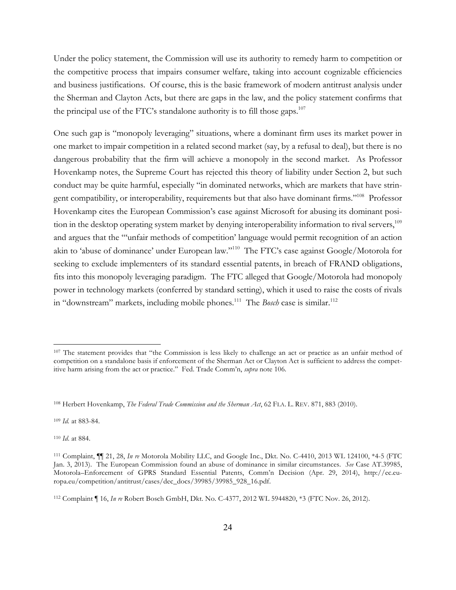Under the policy statement, the Commission will use its authority to remedy harm to competition or the competitive process that impairs consumer welfare, taking into account cognizable efficiencies and business justifications. Of course, this is the basic framework of modern antitrust analysis under the Sherman and Clayton Acts, but there are gaps in the law, and the policy statement confirms that the principal use of the FTC's standalone authority is to fill those gaps.<sup>107</sup>

One such gap is "monopoly leveraging" situations, where a dominant firm uses its market power in one market to impair competition in a related second market (say, by a refusal to deal), but there is no dangerous probability that the firm will achieve a monopoly in the second market. As Professor Hovenkamp notes, the Supreme Court has rejected this theory of liability under Section 2, but such conduct may be quite harmful, especially "in dominated networks, which are markets that have stringent compatibility, or interoperability, requirements but that also have dominant firms."108 Professor Hovenkamp cites the European Commission's case against Microsoft for abusing its dominant position in the desktop operating system market by denying interoperability information to rival servers,<sup>109</sup> and argues that the "'unfair methods of competition' language would permit recognition of an action akin to 'abuse of dominance' under European law."110 The FTC's case against Google/Motorola for seeking to exclude implementers of its standard essential patents, in breach of FRAND obligations, fits into this monopoly leveraging paradigm. The FTC alleged that Google/Motorola had monopoly power in technology markets (conferred by standard setting), which it used to raise the costs of rivals in "downstream" markets, including mobile phones.<sup>111</sup> The *Bosch* case is similar.<sup>112</sup>

<sup>109</sup> *Id.* at 883-84.

<sup>110</sup> *Id*. at 884.

<sup>&</sup>lt;sup>107</sup> The statement provides that "the Commission is less likely to challenge an act or practice as an unfair method of competition on a standalone basis if enforcement of the Sherman Act or Clayton Act is sufficient to address the competitive harm arising from the act or practice." Fed. Trade Comm'n, *supra* note 106.

<sup>108</sup> Herbert Hovenkamp, *The Federal Trade Commission and the Sherman Act*, 62 FLA. L. REV. 871, 883 (2010).

<sup>111</sup> Complaint, ¶¶ 21, 28, *In re* Motorola Mobility LLC, and Google Inc., Dkt. No. C-4410, 2013 WL 124100, \*4-5 (FTC Jan. 3, 2013). The European Commission found an abuse of dominance in similar circumstances. *See* Case AT.39985, Motorola–Enforcement of GPRS Standard Essential Patents, Comm'n Decision (Apr. 29, 2014), http://ec.europa.eu/competition/antitrust/cases/dec\_docs/39985/39985\_928\_16.pdf.

<sup>112</sup> Complaint ¶ 16, *In re* Robert Bosch GmbH, Dkt. No. C-4377, 2012 WL 5944820, \*3 (FTC Nov. 26, 2012).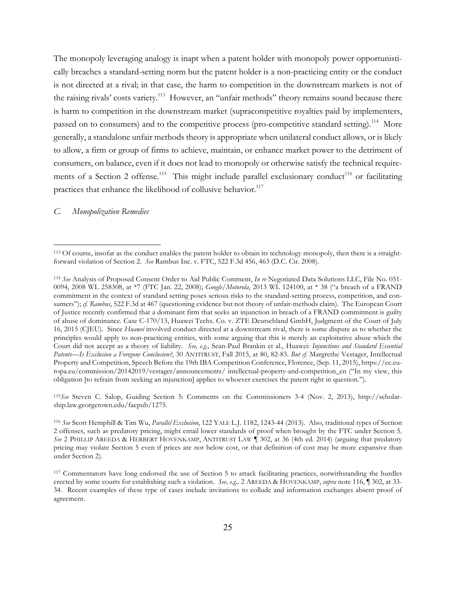The monopoly leveraging analogy is inapt when a patent holder with monopoly power opportunistically breaches a standard-setting norm but the patent holder is a non-practicing entity or the conduct is not directed at a rival; in that case, the harm to competition in the downstream markets is not of the raising rivals' costs variety.<sup>113</sup> However, an "unfair methods" theory remains sound because there is harm to competition in the downstream market (supracompetitive royalties paid by implementers, passed on to consumers) and to the competitive process (pro-competitive standard setting).<sup>114</sup> More generally, a standalone unfair methods theory is appropriate when unilateral conduct allows, or is likely to allow, a firm or group of firms to achieve, maintain, or enhance market power to the detriment of consumers, on balance, even if it does not lead to monopoly or otherwise satisfy the technical requirements of a Section 2 offense.<sup>115</sup> This might include parallel exclusionary conduct<sup>116</sup> or facilitating practices that enhance the likelihood of collusive behavior.<sup>117</sup>

*C. Monopolization Remedies*

 $\overline{a}$ 

<sup>115</sup>*See* Steven C. Salop, Guiding Section 5: Comments on the Commissioners 3-4 (Nov. 2, 2013), http://scholarship.law.georgetown.edu/facpub/1275.

<sup>113</sup> Of course, insofar as the conduct enables the patent holder to obtain its technology monopoly, then there is a straightforward violation of Section 2. *See* Rambus Inc. v. FTC, 522 F.3d 456, 463 (D.C. Cir. 2008).

<sup>114</sup> *See* Analysis of Proposed Consent Order to Aid Public Comment, *In re* Negotiated Data Solutions LLC, File No. 051- 0094, 2008 WL 258308, at \*7 (FTC Jan. 22, 2008); *Google/Motorola*, 2013 WL 124100, at \* 38 ("a breach of a FRAND commitment in the context of standard setting poses serious risks to the standard-setting process, competition, and consumers"); *cf. Rambus*, 522 F.3d at 467 (questioning evidence but not theory of unfair-methods claim). The European Court of Justice recently confirmed that a dominant firm that seeks an injunction in breach of a FRAND commitment is guilty of abuse of dominance. Case C-170/13, Huawei Techs. Co. v. ZTE Deutschland GmbH, Judgment of the Court of July 16, 2015 (CJEU). Since *Huawei* involved conduct directed at a downstream rival, there is some dispute as to whether the principles would apply to non-practicing entities, with some arguing that this is merely an exploitative abuse which the Court did not accept as a theory of liability. *See, e.g.,* Sean-Paul Brankin et al., Huawei: *Injunctions and Standard Essential Patents—Is Exclusion a Foregone Conclusion?*, 30 ANTITRUST, Fall 2015, at 80, 82-83. *But cf.* Margrethe Vestager, Intellectual Property and Competition, Speech Before the 19th IBA Competition Conference, Florence, (Sep. 11, 2015), https://ec.europa.eu/commission/20142019/vestager/announcements/ intellectual-property-and-competition\_en ("In my view, this obligation [to refrain from seeking an injunction] applies to whoever exercises the patent right in question.").

<sup>116</sup> *See* Scott Hemphill & Tim Wu, *Parallel Exclusion*, 122 YALE L.J. 1182, 1243-44 (2013). Also, traditional types of Section 2 offenses, such as predatory pricing, might entail lower standards of proof when brought by the FTC under Section 5. *See* 2 PHILLIP AREEDA & HERBERT HOVENKAMP, ANTITRUST LAW ¶ 302, at 36 (4th ed. 2014) (arguing that predatory pricing may violate Section 5 even if prices are not below cost, or that definition of cost may be more expansive than under Section 2).

<sup>117</sup> Commentators have long endorsed the use of Section 5 to attack facilitating practices, notwithstanding the hurdles erected by some courts for establishing such a violation. *See, e.g.,* 2 AREEDA & HOVENKAMP, *supra* note 116, ¶ 302, at 33- 34. Recent examples of these type of cases include invitations to collude and information exchanges absent proof of agreement.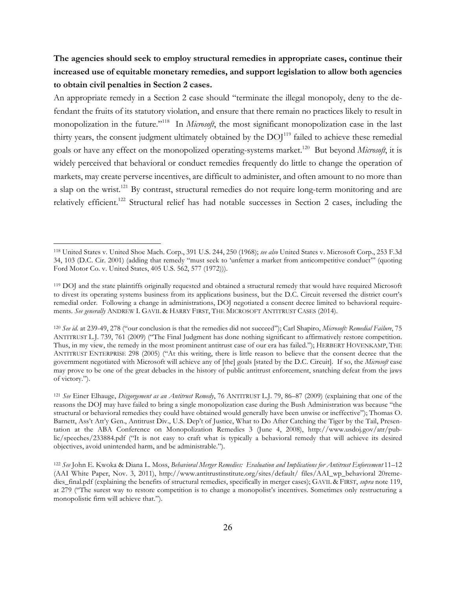## **The agencies should seek to employ structural remedies in appropriate cases, continue their increased use of equitable monetary remedies, and support legislation to allow both agencies to obtain civil penalties in Section 2 cases.**

An appropriate remedy in a Section 2 case should "terminate the illegal monopoly, deny to the defendant the fruits of its statutory violation, and ensure that there remain no practices likely to result in monopolization in the future."118 In *Microsoft*, the most significant monopolization case in the last thirty years, the consent judgment ultimately obtained by the DOJ<sup>119</sup> failed to achieve these remedial goals or have any effect on the monopolized operating-systems market.<sup>120</sup> But beyond *Microsoft*, it is widely perceived that behavioral or conduct remedies frequently do little to change the operation of markets, may create perverse incentives, are difficult to administer, and often amount to no more than a slap on the wrist.<sup>121</sup> By contrast, structural remedies do not require long-term monitoring and are relatively efficient.<sup>122</sup> Structural relief has had notable successes in Section 2 cases, including the

<sup>118</sup> United States v. United Shoe Mach. Corp., 391 U.S. 244, 250 (1968); *see also* United States v. Microsoft Corp., 253 F.3d 34, 103 (D.C. Cir. 2001) (adding that remedy "must seek to 'unfetter a market from anticompetitive conduct'" (quoting Ford Motor Co. v. United States, 405 U.S. 562, 577 (1972))).

<sup>119</sup> DOJ and the state plaintiffs originally requested and obtained a structural remedy that would have required Microsoft to divest its operating systems business from its applications business, but the D.C. Circuit reversed the district court's remedial order. Following a change in administrations, DOJ negotiated a consent decree limited to behavioral requirements. *See generally* ANDREW I. GAVIL & HARRY FIRST, THE MICROSOFT ANTITRUST CASES (2014).

<sup>120</sup> *See id.* at 239-49, 278 ("our conclusion is that the remedies did not succeed"); Carl Shapiro, *Microsoft: Remedial Failure*, 75 ANTITRUST L.J. 739, 761 (2009) ("The Final Judgment has done nothing significant to affirmatively restore competition. Thus, in my view, the remedy in the most prominent antitrust case of our era has failed."); HERBERT HOVENKAMP, THE ANTITRUST ENTERPRISE 298 (2005) ("At this writing, there is little reason to believe that the consent decree that the government negotiated with Microsoft will achieve any of [the] goals [stated by the D.C. Circuit]. If so, the *Microsoft* case may prove to be one of the great debacles in the history of public antitrust enforcement, snatching defeat from the jaws of victory.").

<sup>121</sup> *See* Einer Elhauge, *Disgorgement as an Antitrust Remedy*, 76 ANTITRUST L.J. 79, 86–87 (2009) (explaining that one of the reasons the DOJ may have failed to bring a single monopolization case during the Bush Administration was because "the structural or behavioral remedies they could have obtained would generally have been unwise or ineffective"); Thomas O. Barnett, Ass't Att'y Gen., Antitrust Div., U.S. Dep't of Justice, What to Do After Catching the Tiger by the Tail, Presentation at the ABA Conference on Monopolization Remedies 3 (June 4, 2008), http://www.usdoj.gov/atr/public/speeches/233884.pdf ("It is not easy to craft what is typically a behavioral remedy that will achieve its desired objectives, avoid unintended harm, and be administrable.").

<sup>122</sup> *See* John E. Kwoka & Diana L. Moss, *Behavioral Merger Remedies: Evaluation and Implications for Antitrust Enforcement* 11–12 (AAI White Paper, Nov. 3, 2011), http://www.antitrustinstitute.org/sites/default/ files/AAI\_wp\_behavioral 20remedies final.pdf (explaining the benefits of structural remedies, specifically in merger cases); GAVIL & FIRST, *supra* note 119, at 279 ("The surest way to restore competition is to change a monopolist's incentives. Sometimes only restructuring a monopolistic firm will achieve that.").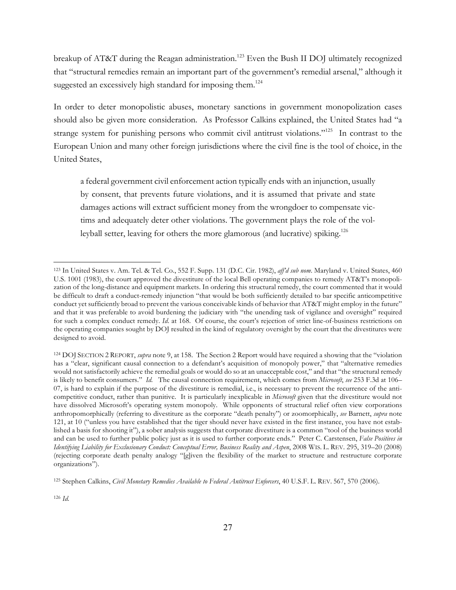breakup of AT&T during the Reagan administration.<sup>123</sup> Even the Bush II DOJ ultimately recognized that "structural remedies remain an important part of the government's remedial arsenal," although it suggested an excessively high standard for imposing them.<sup>124</sup>

In order to deter monopolistic abuses, monetary sanctions in government monopolization cases should also be given more consideration. As Professor Calkins explained, the United States had "a strange system for punishing persons who commit civil antitrust violations."<sup>125</sup> In contrast to the European Union and many other foreign jurisdictions where the civil fine is the tool of choice, in the United States,

a federal government civil enforcement action typically ends with an injunction, usually by consent, that prevents future violations, and it is assumed that private and state damages actions will extract sufficient money from the wrongdoer to compensate victims and adequately deter other violations. The government plays the role of the volleyball setter, leaving for others the more glamorous (and lucrative) spiking.<sup>126</sup>

<sup>123</sup> In United States v. Am. Tel. & Tel. Co., 552 F. Supp. 131 (D.C. Cir. 1982), *aff'd sub nom*. Maryland v. United States, 460 U.S. 1001 (1983), the court approved the divestiture of the local Bell operating companies to remedy AT&T's monopolization of the long-distance and equipment markets. In ordering this structural remedy, the court commented that it would be difficult to draft a conduct-remedy injunction "that would be both sufficiently detailed to bar specific anticompetitive conduct yet sufficiently broad to prevent the various conceivable kinds of behavior that AT&T might employ in the future" and that it was preferable to avoid burdening the judiciary with "the unending task of vigilance and oversight" required for such a complex conduct remedy. *Id*. at 168. Of course, the court's rejection of strict line-of-business restrictions on the operating companies sought by DOJ resulted in the kind of regulatory oversight by the court that the divestitures were designed to avoid.

<sup>124</sup> DOJ SECTION 2 REPORT, *supra* note 9, at 158. The Section 2 Report would have required a showing that the "violation has a "clear, significant causal connection to a defendant's acquisition of monopoly power," that "alternative remedies would not satisfactorily achieve the remedial goals or would do so at an unacceptable cost," and that "the structural remedy is likely to benefit consumers." *Id.* The causal connection requirement, which comes from *Microsoft*, *see* 253 F.3d at 106– 07, is hard to explain if the purpose of the divestiture is remedial, i.e., is necessary to prevent the recurrence of the anticompetitive conduct, rather than punitive. It is particularly inexplicable in *Microsoft* given that the divestiture would not have dissolved Microsoft's operating system monopoly. While opponents of structural relief often view corporations anthropomorphically (referring to divestiture as the corporate "death penalty") or zoomorphically, *see* Barnett, *supra* note 121, at 10 ("unless you have established that the tiger should never have existed in the first instance, you have not established a basis for shooting it"), a sober analysis suggests that corporate divestiture is a common "tool of the business world and can be used to further public policy just as it is used to further corporate ends." Peter C. Carstensen, *False Positives in Identifying Liability for Exclusionary Conduct: Conceptual Error, Business Reality and Aspen*, 2008 WIS. L. REV. 295, 319–20 (2008) (rejecting corporate death penalty analogy "[g]iven the flexibility of the market to structure and restructure corporate organizations").

<sup>125</sup> Stephen Calkins, *Civil Monetary Remedies Available to Federal Antitrust Enforcers*, 40 U.S.F. L. REV. 567, 570 (2006).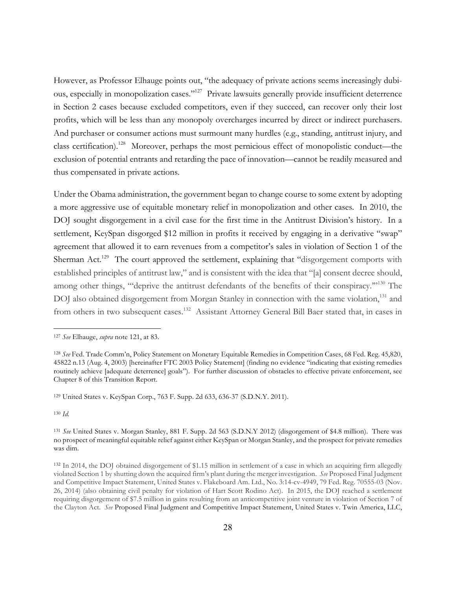However, as Professor Elhauge points out, "the adequacy of private actions seems increasingly dubious, especially in monopolization cases."127 Private lawsuits generally provide insufficient deterrence in Section 2 cases because excluded competitors, even if they succeed, can recover only their lost profits, which will be less than any monopoly overcharges incurred by direct or indirect purchasers. And purchaser or consumer actions must surmount many hurdles (e.g., standing, antitrust injury, and class certification).<sup>128</sup> Moreover, perhaps the most pernicious effect of monopolistic conduct—the exclusion of potential entrants and retarding the pace of innovation—cannot be readily measured and thus compensated in private actions.

Under the Obama administration, the government began to change course to some extent by adopting a more aggressive use of equitable monetary relief in monopolization and other cases. In 2010, the DOJ sought disgorgement in a civil case for the first time in the Antitrust Division's history. In a settlement, KeySpan disgorged \$12 million in profits it received by engaging in a derivative "swap" agreement that allowed it to earn revenues from a competitor's sales in violation of Section 1 of the Sherman Act.<sup>129</sup> The court approved the settlement, explaining that "disgorgement comports with established principles of antitrust law," and is consistent with the idea that "[a] consent decree should, among other things, "'deprive the antitrust defendants of the benefits of their conspiracy."<sup>130</sup> The DOJ also obtained disgorgement from Morgan Stanley in connection with the same violation,<sup>131</sup> and from others in two subsequent cases.<sup>132</sup> Assistant Attorney General Bill Baer stated that, in cases in

<sup>129</sup> United States v. KeySpan Corp., 763 F. Supp. 2d 633, 636-37 (S.D.N.Y. 2011).

<sup>130</sup> *Id.* 

<sup>127</sup> *See* Elhauge, *supra* note 121, at 83.

<sup>128</sup> *See* Fed. Trade Comm'n, Policy Statement on Monetary Equitable Remedies in Competition Cases, 68 Fed. Reg. 45,820, 45822 n.13 (Aug. 4, 2003) [hereinafter FTC 2003 Policy Statement] (finding no evidence "indicating that existing remedies routinely achieve [adequate deterrence] goals"). For further discussion of obstacles to effective private enforcement, see Chapter 8 of this Transition Report.

<sup>131</sup> *See* United States v. Morgan Stanley, 881 F. Supp. 2d 563 (S.D.N.Y 2012) (disgorgement of \$4.8 million). There was no prospect of meaningful equitable relief against either KeySpan or Morgan Stanley, and the prospect for private remedies was dim.

<sup>132</sup> In 2014, the DOJ obtained disgorgement of \$1.15 million in settlement of a case in which an acquiring firm allegedly violated Section 1 by shutting down the acquired firm's plant during the merger investigation. *See* Proposed Final Judgment and Competitive Impact Statement, United States v. Flakeboard Am. Ltd., No. 3:14-cv-4949, 79 Fed. Reg. 70555-03 (Nov. 26, 2014) (also obtaining civil penalty for violation of Hart Scott Rodino Act). In 2015, the DOJ reached a settlement requiring disgorgement of \$7.5 million in gains resulting from an anticompetitive joint venture in violation of Section 7 of the Clayton Act. *See* Proposed Final Judgment and Competitive Impact Statement, United States v. Twin America, LLC,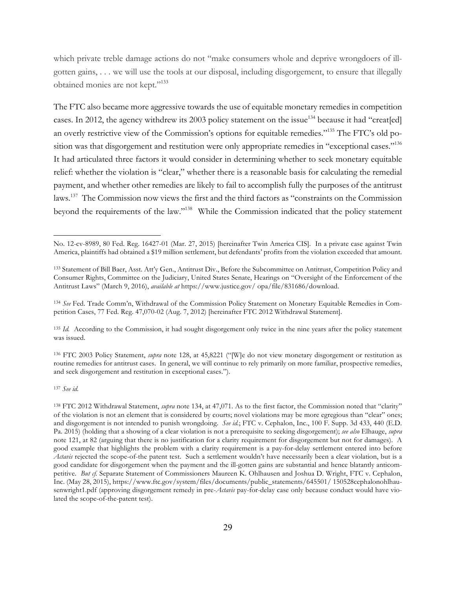which private treble damage actions do not "make consumers whole and deprive wrongdoers of illgotten gains, . . . we will use the tools at our disposal, including disgorgement, to ensure that illegally obtained monies are not kept."133

The FTC also became more aggressive towards the use of equitable monetary remedies in competition cases. In 2012, the agency withdrew its 2003 policy statement on the issue<sup>134</sup> because it had "creat[ed] an overly restrictive view of the Commission's options for equitable remedies."135 The FTC's old position was that disgorgement and restitution were only appropriate remedies in "exceptional cases."<sup>136</sup> It had articulated three factors it would consider in determining whether to seek monetary equitable relief: whether the violation is "clear," whether there is a reasonable basis for calculating the remedial payment, and whether other remedies are likely to fail to accomplish fully the purposes of the antitrust laws.<sup>137</sup> The Commission now views the first and the third factors as "constraints on the Commission beyond the requirements of the law."138 While the Commission indicated that the policy statement

<sup>136</sup> FTC 2003 Policy Statement, *supra* note 128, at 45,8221 ("[W]e do not view monetary disgorgement or restitution as routine remedies for antitrust cases. In general, we will continue to rely primarily on more familiar, prospective remedies, and seek disgorgement and restitution in exceptional cases.").

<sup>137</sup> *See id.*

No. 12-cv-8989, 80 Fed. Reg. 16427-01 (Mar. 27, 2015) [hereinafter Twin America CIS]. In a private case against Twin America, plaintiffs had obtained a \$19 million settlement, but defendants' profits from the violation exceeded that amount.

<sup>133</sup> Statement of Bill Baer, Asst. Att'y Gen., Antitrust Div., Before the Subcommittee on Antitrust, Competition Policy and Consumer Rights, Committee on the Judiciary, United States Senate, Hearings on "Oversight of the Enforcement of the Antitrust Laws" (March 9, 2016), *available at* https://www.justice.gov/ opa/file/831686/download.

<sup>134</sup> *See* Fed. Trade Comm'n, Withdrawal of the Commission Policy Statement on Monetary Equitable Remedies in Competition Cases, 77 Fed. Reg. 47,070-02 (Aug. 7, 2012) [hereinafter FTC 2012 Withdrawal Statement].

<sup>135</sup> *Id.* According to the Commission, it had sought disgorgement only twice in the nine years after the policy statement was issued.

<sup>138</sup> FTC 2012 Withdrawal Statement, *supra* note 134, at 47,071. As to the first factor, the Commission noted that "clarity" of the violation is not an element that is considered by courts; novel violations may be more egregious than "clear" ones; and disgorgement is not intended to punish wrongdoing. *See id.*; FTC v. Cephalon, Inc., 100 F. Supp. 3d 433, 440 (E.D. Pa. 2015) (holding that a showing of a clear violation is not a prerequisite to seeking disgorgement); *see also* Elhauge, *supra* note 121, at 82 (arguing that there is no justification for a clarity requirement for disgorgement but not for damages). A good example that highlights the problem with a clarity requirement is a pay-for-delay settlement entered into before *Actavis* rejected the scope-of-the patent test. Such a settlement wouldn't have necessarily been a clear violation, but is a good candidate for disgorgement when the payment and the ill-gotten gains are substantial and hence blatantly anticompetitive. *But cf.* Separate Statement of Commissioners Maureen K. Ohlhausen and Joshua D. Wright, FTC v. Cephalon, Inc. (May 28, 2015), https://www.ftc.gov/system/files/documents/public\_statements/645501/ 150528cephalonohlhausenwright1.pdf (approving disgorgement remedy in pre-*Actavis* pay-for-delay case only because conduct would have violated the scope-of-the-patent test).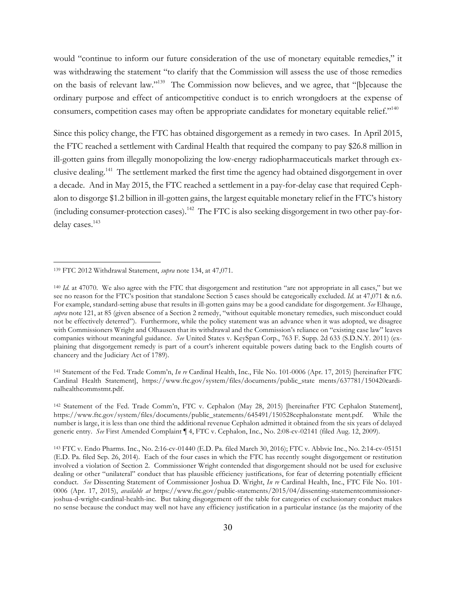would "continue to inform our future consideration of the use of monetary equitable remedies," it was withdrawing the statement "to clarify that the Commission will assess the use of those remedies on the basis of relevant law."139 The Commission now believes, and we agree, that "[b]ecause the ordinary purpose and effect of anticompetitive conduct is to enrich wrongdoers at the expense of consumers, competition cases may often be appropriate candidates for monetary equitable relief."<sup>140</sup>

Since this policy change, the FTC has obtained disgorgement as a remedy in two cases. In April 2015, the FTC reached a settlement with Cardinal Health that required the company to pay \$26.8 million in ill-gotten gains from illegally monopolizing the low-energy radiopharmaceuticals market through exclusive dealing.<sup>141</sup> The settlement marked the first time the agency had obtained disgorgement in over a decade. And in May 2015, the FTC reached a settlement in a pay-for-delay case that required Cephalon to disgorge \$1.2 billion in ill-gotten gains, the largest equitable monetary relief in the FTC's history (including consumer-protection cases).142 The FTC is also seeking disgorgement in two other pay-fordelay cases. 143

 $\overline{a}$ 

<sup>141</sup> Statement of the Fed. Trade Comm'n, *In re* Cardinal Health, Inc., File No. 101-0006 (Apr. 17, 2015) [hereinafter FTC Cardinal Health Statement], https://www.ftc.gov/system/files/documents/public\_state ments/637781/150420cardinalhealthcommstmt.pdf.

<sup>139</sup> FTC 2012 Withdrawal Statement, *supra* note 134, at 47,071.

<sup>&</sup>lt;sup>140</sup> *Id.* at 47070. We also agree with the FTC that disgorgement and restitution "are not appropriate in all cases," but we see no reason for the FTC's position that standalone Section 5 cases should be categorically excluded. *Id.* at 47,071 & n.6. For example, standard-setting abuse that results in ill-gotten gains may be a good candidate for disgorgement. *See* Elhauge, *supra* note 121, at 85 (given absence of a Section 2 remedy, "without equitable monetary remedies, such misconduct could not be effectively deterred"). Furthermore, while the policy statement was an advance when it was adopted, we disagree with Commissioners Wright and Olhausen that its withdrawal and the Commission's reliance on "existing case law" leaves companies without meaningful guidance. *See* United States v. KeySpan Corp., 763 F. Supp. 2d 633 (S.D.N.Y. 2011) (explaining that disgorgement remedy is part of a court's inherent equitable powers dating back to the English courts of chancery and the Judiciary Act of 1789).

<sup>142</sup> Statement of the Fed. Trade Comm'n, FTC v. Cephalon (May 28, 2015) [hereinafter FTC Cephalon Statement], https://www.ftc.gov/system/files/documents/public\_statements/645491/150528cephalonstate ment.pdf. While the number is large, it is less than one third the additional revenue Cephalon admitted it obtained from the six years of delayed generic entry. *See* First Amended Complaint ¶ 4, FTC v. Cephalon, Inc., No. 2:08-cv-02141 (filed Aug. 12, 2009).

<sup>143</sup> FTC v. Endo Pharms. Inc., No. 2:16-cv-01440 (E.D. Pa. filed March 30, 2016); FTC v. Abbvie Inc., No. 2:14-cv-05151 (E.D. Pa. filed Sep. 26, 2014). Each of the four cases in which the FTC has recently sought disgorgement or restitution involved a violation of Section 2. Commissioner Wright contended that disgorgement should not be used for exclusive dealing or other "unilateral" conduct that has plausible efficiency justifications, for fear of deterring potentially efficient conduct. *See* Dissenting Statement of Commissioner Joshua D. Wright, *In re* Cardinal Health, Inc., FTC File No. 101- 0006 (Apr. 17, 2015), *available at* https://www.ftc.gov/public-statements/2015/04/dissenting-statementcommissionerjoshua-d-wright-cardinal-health-inc. But taking disgorgement off the table for categories of exclusionary conduct makes no sense because the conduct may well not have any efficiency justification in a particular instance (as the majority of the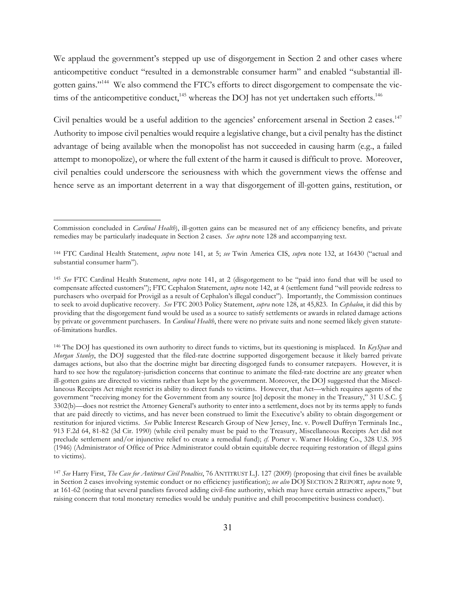We applaud the government's stepped up use of disgorgement in Section 2 and other cases where anticompetitive conduct "resulted in a demonstrable consumer harm" and enabled "substantial illgotten gains."144 We also commend the FTC's efforts to direct disgorgement to compensate the victims of the anticompetitive conduct,<sup>145</sup> whereas the DOJ has not yet undertaken such efforts.<sup>146</sup>

Civil penalties would be a useful addition to the agencies' enforcement arsenal in Section 2 cases.<sup>147</sup> Authority to impose civil penalties would require a legislative change, but a civil penalty has the distinct advantage of being available when the monopolist has not succeeded in causing harm (e.g., a failed attempt to monopolize), or where the full extent of the harm it caused is difficult to prove. Moreover, civil penalties could underscore the seriousness with which the government views the offense and hence serve as an important deterrent in a way that disgorgement of ill-gotten gains, restitution, or

 $\overline{a}$ 

<sup>146</sup> The DOJ has questioned its own authority to direct funds to victims, but its questioning is misplaced. In *KeySpan* and *Morgan Stanley*, the DOJ suggested that the filed-rate doctrine supported disgorgement because it likely barred private damages actions, but also that the doctrine might bar directing disgorged funds to consumer ratepayers. However, it is hard to see how the regulatory-jurisdiction concerns that continue to animate the filed-rate doctrine are any greater when ill-gotten gains are directed to victims rather than kept by the government. Moreover, the DOJ suggested that the Miscellaneous Receipts Act might restrict its ability to direct funds to victims. However, that Act—which requires agents of the government "receiving money for the Government from any source [to] deposit the money in the Treasury," 31 U.S.C. § 3302(b)—does not restrict the Attorney General's authority to enter into a settlement, does not by its terms apply to funds that are paid directly to victims, and has never been construed to limit the Executive's ability to obtain disgorgement or restitution for injured victims. *See* Public Interest Research Group of New Jersey, Inc. v. Powell Duffryn Terminals Inc., 913 F.2d 64, 81-82 (3d Cir. 1990) (while civil penalty must be paid to the Treasury, Miscellaneous Receipts Act did not preclude settlement and/or injunctive relief to create a remedial fund); *cf.* Porter v. Warner Holding Co., 328 U.S. 395 (1946) (Administrator of Office of Price Administrator could obtain equitable decree requiring restoration of illegal gains to victims).

<sup>147</sup> *See* Harry First, *The Case for Antitrust Civil Penalties*, 76 ANTITRUST L.J. 127 (2009) (proposing that civil fines be available in Section 2 cases involving systemic conduct or no efficiency justification); *see also* DOJ SECTION 2 REPORT, *supra* note 9, at 161-62 (noting that several panelists favored adding civil-fine authority, which may have certain attractive aspects," but raising concern that total monetary remedies would be unduly punitive and chill procompetitive business conduct).

Commission concluded in *Cardinal Health*), ill-gotten gains can be measured net of any efficiency benefits, and private remedies may be particularly inadequate in Section 2 cases. *See supra* note 128 and accompanying text.

<sup>144</sup> FTC Cardinal Health Statement, *supra* note 141, at 5; *see* Twin America CIS, *supr*a note 132, at 16430 ("actual and substantial consumer harm").

<sup>145</sup> *See* FTC Cardinal Health Statement, *supra* note 141, at 2 (disgorgement to be "paid into fund that will be used to compensate affected customers"); FTC Cephalon Statement, *supra* note 142, at 4 (settlement fund "will provide redress to purchasers who overpaid for Provigil as a result of Cephalon's illegal conduct"). Importantly, the Commission continues to seek to avoid duplicative recovery. *See* FTC 2003 Policy Statement, *supra* note 128, at 45,823. In *Cephalon*, it did this by providing that the disgorgement fund would be used as a source to satisfy settlements or awards in related damage actions by private or government purchasers. In *Cardinal Health*, there were no private suits and none seemed likely given statuteof-limitations hurdles.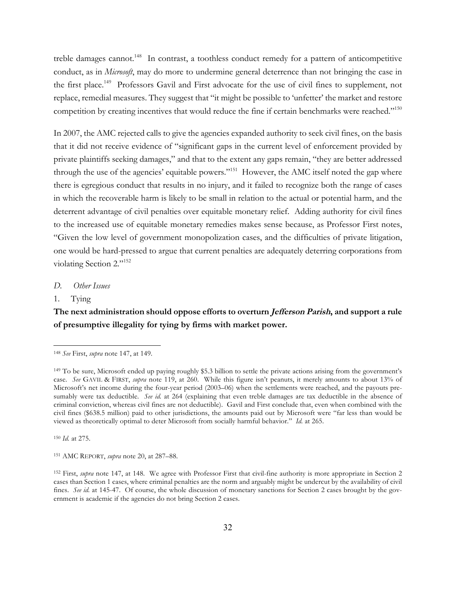treble damages cannot.<sup>148</sup> In contrast, a toothless conduct remedy for a pattern of anticompetitive conduct, as in *Microsoft*, may do more to undermine general deterrence than not bringing the case in the first place.<sup>149</sup> Professors Gavil and First advocate for the use of civil fines to supplement, not replace, remedial measures. They suggest that "it might be possible to 'unfetter' the market and restore competition by creating incentives that would reduce the fine if certain benchmarks were reached."<sup>150</sup>

In 2007, the AMC rejected calls to give the agencies expanded authority to seek civil fines, on the basis that it did not receive evidence of "significant gaps in the current level of enforcement provided by private plaintiffs seeking damages," and that to the extent any gaps remain, "they are better addressed through the use of the agencies' equitable powers."<sup>151</sup> However, the AMC itself noted the gap where there is egregious conduct that results in no injury, and it failed to recognize both the range of cases in which the recoverable harm is likely to be small in relation to the actual or potential harm, and the deterrent advantage of civil penalties over equitable monetary relief. Adding authority for civil fines to the increased use of equitable monetary remedies makes sense because, as Professor First notes, "Given the low level of government monopolization cases, and the difficulties of private litigation, one would be hard-pressed to argue that current penalties are adequately deterring corporations from violating Section 2."152

#### *D. Other Issues*

### 1. Tying

 $\overline{a}$ 

### **The next administration should oppose efforts to overturn Jefferson Parish, and support a rule of presumptive illegality for tying by firms with market power.**

<sup>150</sup> *Id.* at 275.

<sup>151</sup> AMC REPORT, *supra* note 20, at 287–88.

<sup>148</sup> *See* First, *supra* note 147, at 149.

<sup>149</sup> To be sure, Microsoft ended up paying roughly \$5.3 billion to settle the private actions arising from the government's case. *See* GAVIL & FIRST, *supra* note 119, at 260. While this figure isn't peanuts, it merely amounts to about 13% of Microsoft's net income during the four-year period (2003–06) when the settlements were reached, and the payouts presumably were tax deductible. *See id.* at 264 (explaining that even treble damages are tax deductible in the absence of criminal conviction, whereas civil fines are not deductible). Gavil and First conclude that, even when combined with the civil fines (\$638.5 million) paid to other jurisdictions, the amounts paid out by Microsoft were "far less than would be viewed as theoretically optimal to deter Microsoft from socially harmful behavior." *Id.* at 265.

<sup>152</sup> First, *supra* note 147, at 148. We agree with Professor First that civil-fine authority is more appropriate in Section 2 cases than Section 1 cases, where criminal penalties are the norm and arguably might be undercut by the availability of civil fines. *See id.* at 145-47. Of course, the whole discussion of monetary sanctions for Section 2 cases brought by the government is academic if the agencies do not bring Section 2 cases.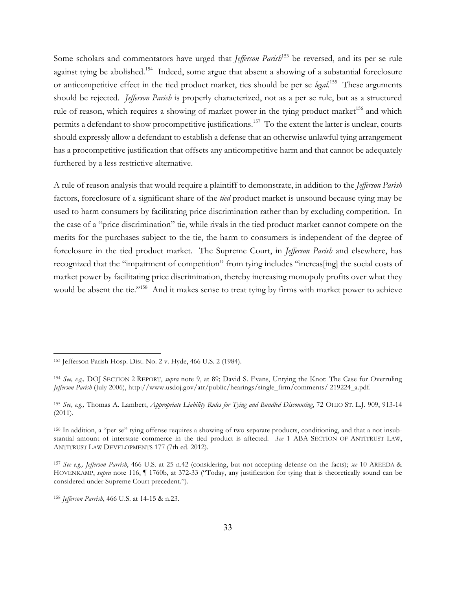Some scholars and commentators have urged that *Jefferson Parish*<sup>153</sup> be reversed, and its per se rule against tying be abolished.<sup>154</sup> Indeed, some argue that absent a showing of a substantial foreclosure or anticompetitive effect in the tied product market, ties should be per se *legal*. 155 These arguments should be rejected. *Jefferson Parish* is properly characterized, not as a per se rule, but as a structured rule of reason, which requires a showing of market power in the tying product market<sup>156</sup> and which permits a defendant to show procompetitive justifications.<sup>157</sup> To the extent the latter is unclear, courts should expressly allow a defendant to establish a defense that an otherwise unlawful tying arrangement has a procompetitive justification that offsets any anticompetitive harm and that cannot be adequately furthered by a less restrictive alternative.

A rule of reason analysis that would require a plaintiff to demonstrate, in addition to the *Jefferson Parish* factors, foreclosure of a significant share of the *tied* product market is unsound because tying may be used to harm consumers by facilitating price discrimination rather than by excluding competition. In the case of a "price discrimination" tie, while rivals in the tied product market cannot compete on the merits for the purchases subject to the tie, the harm to consumers is independent of the degree of foreclosure in the tied product market. The Supreme Court, in *Jefferson Parish* and elsewhere, has recognized that the "impairment of competition" from tying includes "increas[ing] the social costs of market power by facilitating price discrimination, thereby increasing monopoly profits over what they would be absent the tie."<sup>158</sup> And it makes sense to treat tying by firms with market power to achieve

<sup>153</sup> Jefferson Parish Hosp. Dist. No. 2 v. Hyde, 466 U.S. 2 (1984).

<sup>154</sup> *See, e.g.,* DOJ SECTION 2 REPORT, *supra* note 9, at 89; David S. Evans, Untying the Knot: The Case for Overruling *Jefferson Parish* (July 2006), http://www.usdoj.gov/atr/public/hearings/single\_firm/comments/ 219224\_a.pdf.

<sup>155</sup> *See, e.g.,* Thomas A. Lambert, *Appropriate Liability Rules for Tying and Bundled Discounting*, 72 OHIO ST. L.J. 909, 913-14 (2011).

<sup>156</sup> In addition, a "per se" tying offense requires a showing of two separate products, conditioning, and that a not insubstantial amount of interstate commerce in the tied product is affected. *See* 1 ABA SECTION OF ANTITRUST LAW, ANTITRUST LAW DEVELOPMENTS 177 (7th ed. 2012).

<sup>157</sup> *See e.g., Jefferson Parrish*, 466 U.S. at 25 n.42 (considering, but not accepting defense on the facts); *see* 10 AREEDA & HOVENKAMP, *supra* note 116, ¶ 1760b, at 372-33 ("Today, any justification for tying that is theoretically sound can be considered under Supreme Court precedent.").

<sup>158</sup> *Jefferson Parrish*, 466 U.S. at 14-15 & n.23.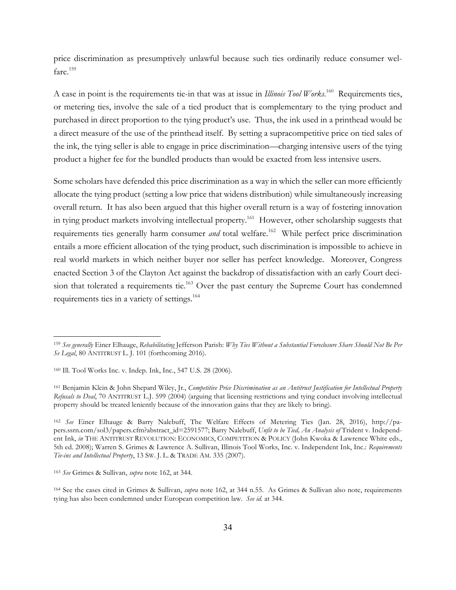price discrimination as presumptively unlawful because such ties ordinarily reduce consumer welfare.<sup>159</sup>

A case in point is the requirements tie-in that was at issue in *Illinois Tool Works*.<sup>160</sup> Requirements ties, or metering ties, involve the sale of a tied product that is complementary to the tying product and purchased in direct proportion to the tying product's use. Thus, the ink used in a printhead would be a direct measure of the use of the printhead itself. By setting a supracompetitive price on tied sales of the ink, the tying seller is able to engage in price discrimination—charging intensive users of the tying product a higher fee for the bundled products than would be exacted from less intensive users.

Some scholars have defended this price discrimination as a way in which the seller can more efficiently allocate the tying product (setting a low price that widens distribution) while simultaneously increasing overall return. It has also been argued that this higher overall return is a way of fostering innovation in tying product markets involving intellectual property.<sup>161</sup> However, other scholarship suggests that requirements ties generally harm consumer *and* total welfare. <sup>162</sup> While perfect price discrimination entails a more efficient allocation of the tying product, such discrimination is impossible to achieve in real world markets in which neither buyer nor seller has perfect knowledge. Moreover, Congress enacted Section 3 of the Clayton Act against the backdrop of dissatisfaction with an early Court decision that tolerated a requirements tie.<sup>163</sup> Over the past century the Supreme Court has condemned requirements ties in a variety of settings.164

<sup>159</sup> *See generally* Einer Elhauge, *Rehabilitating* Jefferson Parish: *Why Ties Without a Substantial Foreclosure Share Should Not Be Per Se Legal*, 80 ANTITRUST L. J. 101 (forthcoming 2016).

<sup>160</sup> Ill. Tool Works Inc. v. Indep. Ink, Inc., 547 U.S. 28 (2006).

<sup>161</sup> Benjamin Klein & John Shepard Wiley, Jr., *Competitive Price Discrimination as an Antitrust Justification for Intellectual Property Refusals to Deal*, 70 ANTITRUST L.J. 599 (2004) (arguing that licensing restrictions and tying conduct involving intellectual property should be treated leniently because of the innovation gains that they are likely to bring).

<sup>162</sup> *See* Einer Elhauge & Barry Nalebuff, The Welfare Effects of Metering Ties (Jan. 28, 2016), http://papers.ssrn.com/sol3/papers.cfm?abstract\_id=2591577; Barry Nalebuff, *Unfit to be Tied, An Analysis of* Trident v. Independent Ink, *in* THE ANTITRUST REVOLUTION: ECONOMICS, COMPETITION & POLICY (John Kwoka & Lawrence White eds., 5th ed. 2008); Warren S. Grimes & Lawrence A. Sullivan, Illinois Tool Works, Inc. v. Independent Ink, Inc.: *Requirements Tie-ins and Intellectual Property*, 13 SW. J. L. & TRADE AM. 335 (2007).

<sup>163</sup> *See* Grimes & Sullivan, *supra* note 162, at 344.

<sup>164</sup> See the cases cited in Grimes & Sullivan, *supra* note 162, at 344 n.55. As Grimes & Sullivan also note, requirements tying has also been condemned under European competition law. *See id.* at 344.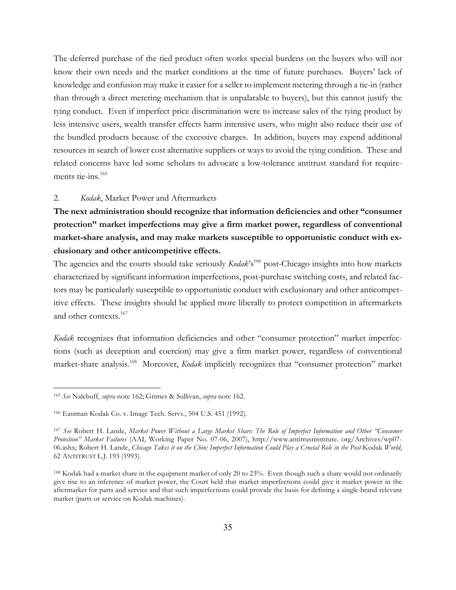The deferred purchase of the tied product often works special burdens on the buyers who will not know their own needs and the market conditions at the time of future purchases. Buyers' lack of knowledge and confusion may make it easier for a seller to implement metering through a tie-in (rather than through a direct metering mechanism that is unpalatable to buyers), but this cannot justify the tying conduct. Even if imperfect price discrimination were to increase sales of the tying product by less intensive users, wealth transfer effects harm intensive users, who might also reduce their use of the bundled products because of the excessive charges. In addition, buyers may expend additional resources in search of lower cost alternative suppliers or ways to avoid the tying condition. These and related concerns have led some scholars to advocate a low-tolerance antitrust standard for requirements tie-ins.<sup>165</sup>

#### 2. *Kodak*, Market Power and Aftermarkets

**The next administration should recognize that information deficiencies and other "consumer protection" market imperfections may give a firm market power, regardless of conventional market-share analysis, and may make markets susceptible to opportunistic conduct with exclusionary and other anticompetitive effects.**

The agencies and the courts should take seriously *Kodak*'s<sup>166</sup> post-Chicago insights into how markets characterized by significant information imperfections, post-purchase switching costs, and related factors may be particularly susceptible to opportunistic conduct with exclusionary and other anticompetitive effects. These insights should be applied more liberally to protect competition in aftermarkets and other contexts.<sup>167</sup>

*Kodak* recognizes that information deficiencies and other "consumer protection" market imperfections (such as deception and coercion) may give a firm market power, regardless of conventional market-share analysis.168 Moreover, *Kodak* implicitly recognizes that "consumer protection" market

<sup>165</sup> *See* Nalebuff, *supra* note 162; Grimes & Sullivan, *supra* note 162.

<sup>166</sup> Eastman Kodak Co. v. Image Tech. Servs., 504 U.S. 451 (1992).

<sup>167</sup> *See* Robert H. Lande, *Market Power Without a Large Market Share: The Role of Imperfect Information and Other "Consumer Protection" Market Failures* (AAI, Working Paper No. 07-06, 2007), http://www.antitrustinstitute. org/Archives/wp07- 06.ashx; Robert H. Lande, *Chicago Takes it on the Chin: Imperfect Information Could Play a Crucial Role in the Post-*Kodak *World*, 62 ANTITRUST L.J. 193 (1993).

<sup>168</sup> Kodak had a market share in the equipment market of only 20 to 23%. Even though such a share would not ordinarily give rise to an inference of market power, the Court held that market imperfections could give it market power in the aftermarket for parts and service and that such imperfections could provide the basis for defining a single-brand relevant market (parts or service on Kodak machines).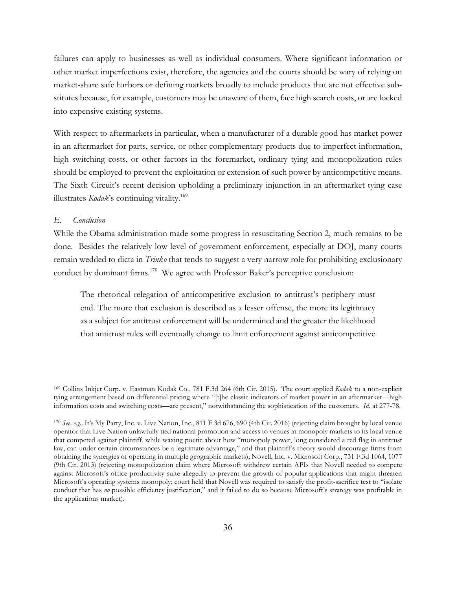failures can apply to businesses as well as individual consumers. Where significant information or other market imperfections exist, therefore, the agencies and the courts should be wary of relying on market-share safe harbors or defining markets broadly to include products that are not effective substitutes because, for example, customers may be unaware of them, face high search costs, or are locked into expensive existing systems.

With respect to aftermarkets in particular, when a manufacturer of a durable good has market power in an aftermarket for parts, service, or other complementary products due to imperfect information, high switching costs, or other factors in the foremarket, ordinary tying and monopolization rules should be employed to prevent the exploitation or extension of such power by anticompetitive means. The Sixth Circuit's recent decision upholding a preliminary injunction in an aftermarket tying case illustrates *Kodak*'s continuing vitality. 169

### *E. Conclusion*

 $\overline{a}$ 

While the Obama administration made some progress in resuscitating Section 2, much remains to be done. Besides the relatively low level of government enforcement, especially at DOJ, many courts remain wedded to dicta in *Trinko* that tends to suggest a very narrow role for prohibiting exclusionary conduct by dominant firms.<sup>170</sup> We agree with Professor Baker's perceptive conclusion:

The rhetorical relegation of anticompetitive exclusion to antitrust's periphery must end. The more that exclusion is described as a lesser offense, the more its legitimacy as a subject for antitrust enforcement will be undermined and the greater the likelihood that antitrust rules will eventually change to limit enforcement against anticompetitive

<sup>169</sup> Collins Inkjet Corp. v. Eastman Kodak Co., 781 F.3d 264 (6th Cir. 2015). The court applied *Kodak* to a non-explicit tying arrangement based on differential pricing where "[t]he classic indicators of market power in an aftermarket—high information costs and switching costs—are present," notwithstanding the sophistication of the customers. *Id.* at 277-78.

<sup>170</sup> *See, e.g.,* It's My Party, Inc. v. Live Nation, Inc., 811 F.3d 676, 690 (4th Cir. 2016) (rejecting claim brought by local venue operator that Live Nation unlawfully tied national promotion and access to venues in monopoly markets to its local venue that competed against plaintiff, while waxing poetic about how "monopoly power, long considered a red flag in antitrust law, can under certain circumstances be a legitimate advantage," and that plaintiff's theory would discourage firms from obtaining the synergies of operating in multiple geographic markets); Novell, Inc. v. Microsoft Corp., 731 F.3d 1064, 1077 (9th Cir. 2013) (rejecting monopolization claim where Microsoft withdrew certain APIs that Novell needed to compete against Microsoft's office productivity suite allegedly to prevent the growth of popular applications that might threaten Microsoft's operating systems monopoly; court held that Novell was required to satisfy the profit-sacrifice test to "isolate conduct that has *no* possible efficiency justification," and it failed to do so because Microsoft's strategy was profitable in the applications market).